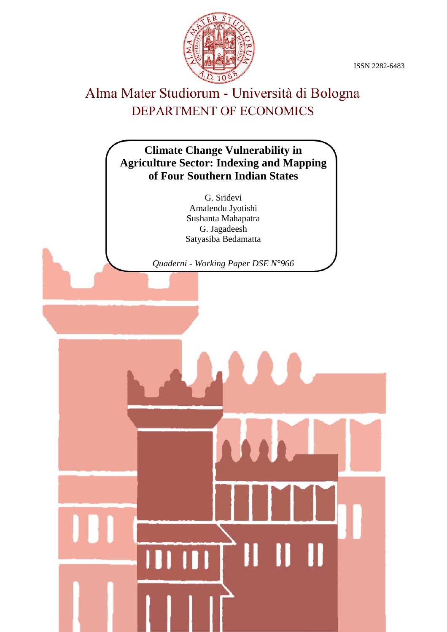ISSN 2282-6483



# Alma Mater Studiorum - Università di Bologna DEPARTMENT OF ECONOMICS

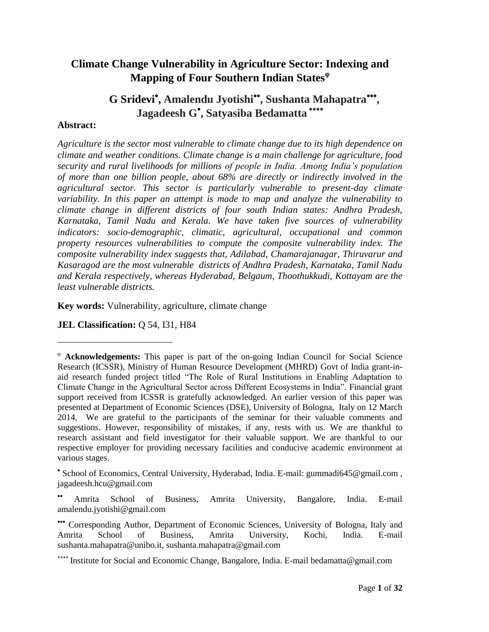### **Climate Change Vulnerability in Agriculture Sector: Indexing and Mapping of Four Southern Indian States**

## G Sridevi<sup>\*</sup>, Amalendu Jyotishi<sup>\*\*</sup>, Sushanta Mahapatra<sup>\*\*\*</sup>, **Jagadeesh G , Satyasiba Bedamatta**

#### **Abstract:**

l

*Agriculture is the sector most vulnerable to climate change due to its high dependence on climate and weather conditions. Climate change is a main challenge for agriculture, food security and rural livelihoods for millions of people in India. Among India's population of more than one billion people, about 68% are directly or indirectly involved in the agricultural sector. This sector is particularly vulnerable to present-day climate variability. In this paper an attempt is made to map and analyze the vulnerability to climate change in different districts of four south Indian states: Andhra Pradesh, Karnataka, Tamil Nadu and Kerala. We have taken five sources of vulnerability indicators: socio-demographic, climatic, agricultural, occupational and common property resources vulnerabilities to compute the composite vulnerability index. The composite vulnerability index suggests that, Adilabad, Chamarajanagar, Thiruvarur and Kasaragod are the most vulnerable districts of Andhra Pradesh, Karnataka, Tamil Nadu and Kerala respectively, whereas Hyderabad, Belgaum, Thoothukkudi, Kottayam are the least vulnerable districts.* 

**Key words:** Vulnerability, agriculture, climate change

**JEL Classification:** Q 54, I31, H84

**Acknowledgements:** This paper is part of the on-going Indian Council for Social Science Research (ICSSR), Ministry of Human Resource Development (MHRD) Govt of India grant-inaid research funded project titled "The Role of Rural Institutions in Enabling Adaptation to Climate Change in the Agricultural Sector across Different Ecosystems in India". Financial grant support received from ICSSR is gratefully acknowledged. An earlier version of this paper was presented at Department of Economic Sciences (DSE), University of Bologna, Italy on 12 March 2014, We are grateful to the participants of the seminar for their valuable comments and suggestions. However, responsibility of mistakes, if any, rests with us. We are thankful to research assistant and field investigator for their valuable support. We are thankful to our respective employer for providing necessary facilities and conducive academic environment at various stages.

School of Economics, Central University, Hyderabad, India. E-mail: gummadi645@gmail.com , jagadeesh.hcu@gmail.com

Amrita School of Business, Amrita University, Bangalore, India. E-mail amalendu.jyotishi@gmail.com

Corresponding Author, Department of Economic Sciences, University of Bologna, Italy and Amrita School of Business, Amrita University, Kochi, India. E-mail sushanta.mahapatra@unibo.it, sushanta.mahapatra@gmail.com

<sup>\*\*\*\*</sup> Institute for Social and Economic Change, Bangalore, India. E-mail bedamatta@gmail.com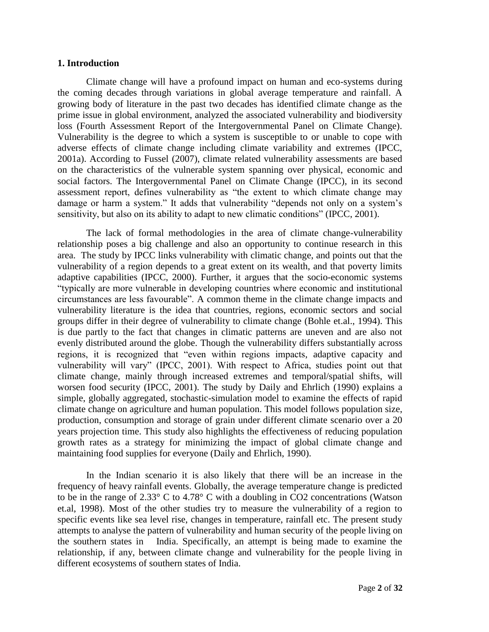#### **1. Introduction**

Climate change will have a profound impact on human and eco-systems during the coming decades through variations in global average temperature and rainfall. A growing body of literature in the past two decades has identified climate change as the prime issue in global environment, analyzed the associated vulnerability and biodiversity loss (Fourth Assessment Report of the Intergovernmental Panel on Climate Change). Vulnerability is the degree to which a system is susceptible to or unable to cope with adverse effects of climate change including climate variability and extremes (IPCC, 2001a). According to Fussel (2007), climate related vulnerability assessments are based on the characteristics of the vulnerable system spanning over physical, economic and social factors. The Intergovernmental Panel on Climate Change (IPCC), in its second assessment report, defines vulnerability as "the extent to which climate change may damage or harm a system." It adds that vulnerability "depends not only on a system"s sensitivity, but also on its ability to adapt to new climatic conditions" (IPCC, 2001).

The lack of formal methodologies in the area of climate change-vulnerability relationship poses a big challenge and also an opportunity to continue research in this area. The study by IPCC links vulnerability with climatic change, and points out that the vulnerability of a region depends to a great extent on its wealth, and that poverty limits adaptive capabilities (IPCC, 2000). Further, it argues that the socio-economic systems "typically are more vulnerable in developing countries where economic and institutional circumstances are less favourable". A common theme in the climate change impacts and vulnerability literature is the idea that countries, regions, economic sectors and social groups differ in their degree of vulnerability to climate change (Bohle et.al., 1994). This is due partly to the fact that changes in climatic patterns are uneven and are also not evenly distributed around the globe. Though the vulnerability differs substantially across regions, it is recognized that "even within regions impacts, adaptive capacity and vulnerability will vary" (IPCC, 2001). With respect to Africa, studies point out that climate change, mainly through increased extremes and temporal/spatial shifts, will worsen food security (IPCC, 2001). The study by Daily and Ehrlich (1990) explains a simple, globally aggregated, stochastic-simulation model to examine the effects of rapid climate change on agriculture and human population. This model follows population size, production, consumption and storage of grain under different climate scenario over a 20 years projection time. This study also highlights the effectiveness of reducing population growth rates as a strategy for minimizing the impact of global climate change and maintaining food supplies for everyone (Daily and Ehrlich, 1990).

In the Indian scenario it is also likely that there will be an increase in the frequency of heavy rainfall events. Globally, the average temperature change is predicted to be in the range of 2.33° C to 4.78° C with a doubling in CO2 concentrations (Watson et.al, 1998). Most of the other studies try to measure the vulnerability of a region to specific events like sea level rise, changes in temperature, rainfall etc. The present study attempts to analyse the pattern of vulnerability and human security of the people living on the southern states in India. Specifically, an attempt is being made to examine the relationship, if any, between climate change and vulnerability for the people living in different ecosystems of southern states of India.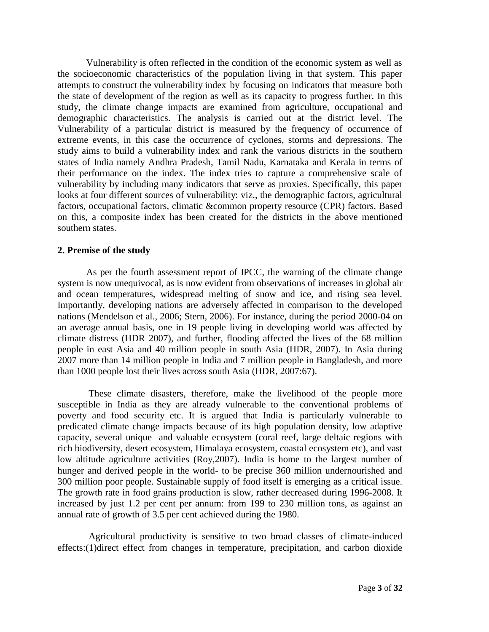Vulnerability is often reflected in the condition of the economic system as well as the socioeconomic characteristics of the population living in that system. This paper attempts to construct the vulnerability index by focusing on indicators that measure both the state of development of the region as well as its capacity to progress further. In this study, the climate change impacts are examined from agriculture, occupational and demographic characteristics. The analysis is carried out at the district level. The Vulnerability of a particular district is measured by the frequency of occurrence of extreme events, in this case the occurrence of cyclones, storms and depressions. The study aims to build a vulnerability index and rank the various districts in the southern states of India namely Andhra Pradesh, Tamil Nadu, Karnataka and Kerala in terms of their performance on the index. The index tries to capture a comprehensive scale of vulnerability by including many indicators that serve as proxies. Specifically, this paper looks at four different sources of vulnerability: viz., the demographic factors, agricultural factors, occupational factors, climatic &common property resource (CPR) factors. Based on this, a composite index has been created for the districts in the above mentioned southern states.

#### **2. Premise of the study**

As per the fourth assessment report of IPCC, the warning of the climate change system is now unequivocal, as is now evident from observations of increases in global air and ocean temperatures, widespread melting of snow and ice, and rising sea level. Importantly, developing nations are adversely affected in comparison to the developed nations (Mendelson et al., 2006; Stern, 2006). For instance, during the period 2000-04 on an average annual basis, one in 19 people living in developing world was affected by climate distress (HDR 2007), and further, flooding affected the lives of the 68 million people in east Asia and 40 million people in south Asia (HDR, 2007). In Asia during 2007 more than 14 million people in India and 7 million people in Bangladesh, and more than 1000 people lost their lives across south Asia (HDR, 2007:67).

These climate disasters, therefore, make the livelihood of the people more susceptible in India as they are already vulnerable to the conventional problems of poverty and food security etc. It is argued that India is particularly vulnerable to predicated climate change impacts because of its high population density, low adaptive capacity, several unique and valuable ecosystem (coral reef, large deltaic regions with rich biodiversity, desert ecosystem, Himalaya ecosystem, coastal ecosystem etc), and vast low altitude agriculture activities (Roy,2007). India is home to the largest number of hunger and derived people in the world- to be precise 360 million undernourished and 300 million poor people. Sustainable supply of food itself is emerging as a critical issue. The growth rate in food grains production is slow, rather decreased during 1996-2008. It increased by just 1.2 per cent per annum: from 199 to 230 million tons, as against an annual rate of growth of 3.5 per cent achieved during the 1980.

Agricultural productivity is sensitive to two broad classes of climate-induced effects:(1)direct effect from changes in temperature, precipitation, and carbon dioxide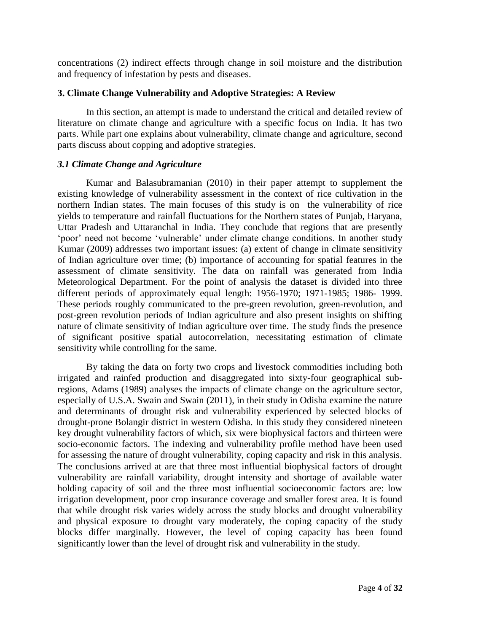concentrations (2) indirect effects through change in soil moisture and the distribution and frequency of infestation by pests and diseases.

#### **3. Climate Change Vulnerability and Adoptive Strategies: A Review**

In this section, an attempt is made to understand the critical and detailed review of literature on climate change and agriculture with a specific focus on India. It has two parts. While part one explains about vulnerability, climate change and agriculture, second parts discuss about copping and adoptive strategies.

#### *3.1 Climate Change and Agriculture*

Kumar and Balasubramanian (2010) in their paper attempt to supplement the existing knowledge of vulnerability assessment in the context of rice cultivation in the northern Indian states. The main focuses of this study is on the vulnerability of rice yields to temperature and rainfall fluctuations for the Northern states of Punjab, Haryana, Uttar Pradesh and Uttaranchal in India. They conclude that regions that are presently "poor" need not become "vulnerable" under climate change conditions. In another study Kumar (2009) addresses two important issues: (a) extent of change in climate sensitivity of Indian agriculture over time; (b) importance of accounting for spatial features in the assessment of climate sensitivity. The data on rainfall was generated from India Meteorological Department. For the point of analysis the dataset is divided into three different periods of approximately equal length: 1956-1970; 1971-1985; 1986- 1999. These periods roughly communicated to the pre-green revolution, green-revolution, and post-green revolution periods of Indian agriculture and also present insights on shifting nature of climate sensitivity of Indian agriculture over time. The study finds the presence of significant positive spatial autocorrelation, necessitating estimation of climate sensitivity while controlling for the same.

By taking the data on forty two crops and livestock commodities including both irrigated and rainfed production and disaggregated into sixty-four geographical subregions, Adams (1989) analyses the impacts of climate change on the agriculture sector, especially of U.S.A. Swain and Swain (2011), in their study in Odisha examine the nature and determinants of drought risk and vulnerability experienced by selected blocks of drought-prone Bolangir district in western Odisha. In this study they considered nineteen key drought vulnerability factors of which, six were biophysical factors and thirteen were socio-economic factors. The indexing and vulnerability profile method have been used for assessing the nature of drought vulnerability, coping capacity and risk in this analysis. The conclusions arrived at are that three most influential biophysical factors of drought vulnerability are rainfall variability, drought intensity and shortage of available water holding capacity of soil and the three most influential socioeconomic factors are: low irrigation development, poor crop insurance coverage and smaller forest area. It is found that while drought risk varies widely across the study blocks and drought vulnerability and physical exposure to drought vary moderately, the coping capacity of the study blocks differ marginally. However, the level of coping capacity has been found significantly lower than the level of drought risk and vulnerability in the study.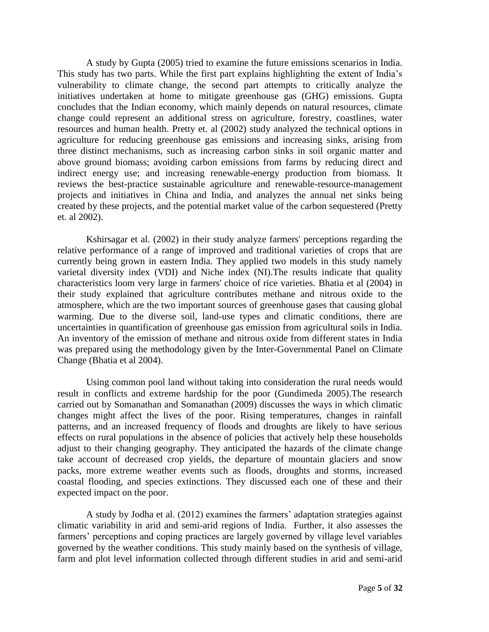A study by Gupta (2005) tried to examine the future emissions scenarios in India. This study has two parts. While the first part explains highlighting the extent of India"s vulnerability to climate change, the second part attempts to critically analyze the initiatives undertaken at home to mitigate greenhouse gas (GHG) emissions. Gupta concludes that the Indian economy, which mainly depends on natural resources, climate change could represent an additional stress on agriculture, forestry, coastlines, water resources and human health. Pretty et. al (2002) study analyzed the technical options in agriculture for reducing greenhouse gas emissions and increasing sinks, arising from three distinct mechanisms, such as increasing carbon sinks in soil organic matter and above ground biomass; avoiding carbon emissions from farms by reducing direct and indirect energy use; and increasing renewable-energy production from biomass. It reviews the best-practice sustainable agriculture and renewable-resource-management projects and initiatives in China and India, and analyzes the annual net sinks being created by these projects, and the potential market value of the carbon sequestered (Pretty et. al 2002).

Kshirsagar et al. (2002) in their study analyze farmers' perceptions regarding the relative performance of a range of improved and traditional varieties of crops that are currently being grown in eastern India. They applied two models in this study namely varietal diversity index (VDI) and Niche index (NI).The results indicate that quality characteristics loom very large in farmers' choice of rice varieties. Bhatia et al (2004) in their study explained that agriculture contributes methane and nitrous oxide to the atmosphere, which are the two important sources of greenhouse gases that causing global warming. Due to the diverse soil, land-use types and climatic conditions, there are uncertainties in quantification of greenhouse gas emission from agricultural soils in India. An inventory of the emission of methane and nitrous oxide from different states in India was prepared using the methodology given by the Inter-Governmental Panel on Climate Change (Bhatia et al 2004).

Using common pool land without taking into consideration the rural needs would result in conflicts and extreme hardship for the poor (Gundimeda 2005).The research carried out by Somanathan and Somanathan (2009) discusses the ways in which climatic changes might affect the lives of the poor. Rising temperatures, changes in rainfall patterns, and an increased frequency of floods and droughts are likely to have serious effects on rural populations in the absence of policies that actively help these households adjust to their changing geography. They anticipated the hazards of the climate change take account of decreased crop yields, the departure of mountain glaciers and snow packs, more extreme weather events such as floods, droughts and storms, increased coastal flooding, and species extinctions. They discussed each one of these and their expected impact on the poor.

A study by Jodha et al. (2012) examines the farmers" adaptation strategies against climatic variability in arid and semi-arid regions of India. Further, it also assesses the farmers' perceptions and coping practices are largely governed by village level variables governed by the weather conditions. This study mainly based on the synthesis of village, farm and plot level information collected through different studies in arid and semi-arid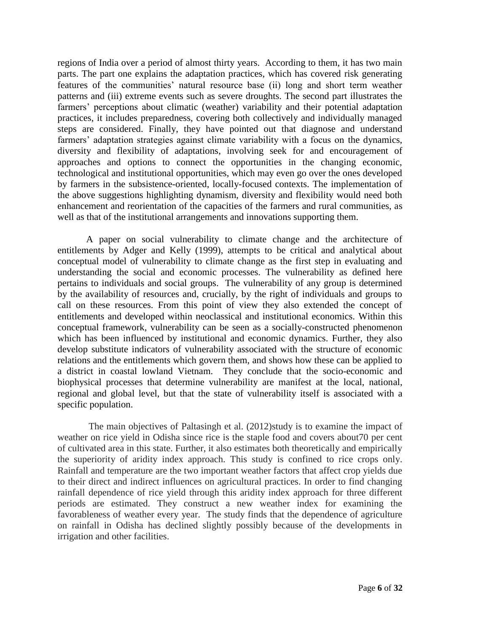regions of India over a period of almost thirty years. According to them, it has two main parts. The part one explains the adaptation practices, which has covered risk generating features of the communities' natural resource base (ii) long and short term weather patterns and (iii) extreme events such as severe droughts. The second part illustrates the farmers' perceptions about climatic (weather) variability and their potential adaptation practices, it includes preparedness, covering both collectively and individually managed steps are considered. Finally, they have pointed out that diagnose and understand farmers' adaptation strategies against climate variability with a focus on the dynamics, diversity and flexibility of adaptations, involving seek for and encouragement of approaches and options to connect the opportunities in the changing economic, technological and institutional opportunities, which may even go over the ones developed by farmers in the subsistence-oriented, locally-focused contexts. The implementation of the above suggestions highlighting dynamism, diversity and flexibility would need both enhancement and reorientation of the capacities of the farmers and rural communities, as well as that of the institutional arrangements and innovations supporting them.

A paper on social vulnerability to climate change and the architecture of entitlements by Adger and Kelly (1999), attempts to be critical and analytical about conceptual model of vulnerability to climate change as the first step in evaluating and understanding the social and economic processes. The vulnerability as defined here pertains to individuals and social groups. The vulnerability of any group is determined by the availability of resources and, crucially, by the right of individuals and groups to call on these resources. From this point of view they also extended the concept of entitlements and developed within neoclassical and institutional economics. Within this conceptual framework, vulnerability can be seen as a socially-constructed phenomenon which has been influenced by institutional and economic dynamics. Further, they also develop substitute indicators of vulnerability associated with the structure of economic relations and the entitlements which govern them, and shows how these can be applied to a district in coastal lowland Vietnam. They conclude that the socio-economic and biophysical processes that determine vulnerability are manifest at the local, national, regional and global level, but that the state of vulnerability itself is associated with a specific population.

The main objectives of Paltasingh et al. (2012)study is to examine the impact of weather on rice yield in Odisha since rice is the staple food and covers about70 per cent of cultivated area in this state. Further, it also estimates both theoretically and empirically the superiority of aridity index approach. This study is confined to rice crops only. Rainfall and temperature are the two important weather factors that affect crop yields due to their direct and indirect influences on agricultural practices. In order to find changing rainfall dependence of rice yield through this aridity index approach for three different periods are estimated. They construct a new weather index for examining the favorableness of weather every year. The study finds that the dependence of agriculture on rainfall in Odisha has declined slightly possibly because of the developments in irrigation and other facilities.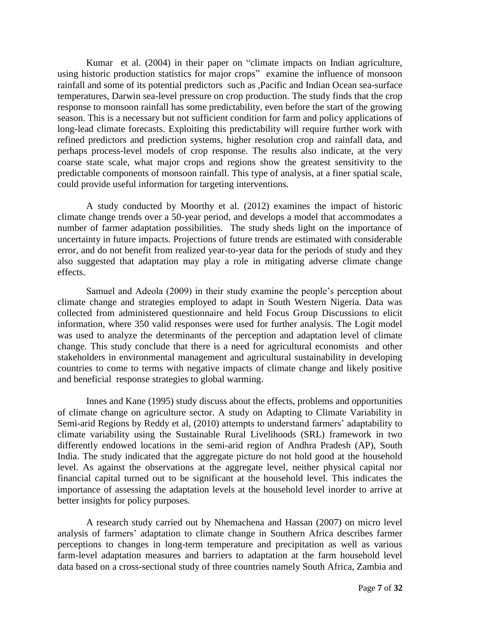Kumar et al. (2004) in their paper on "climate impacts on Indian agriculture, using historic production statistics for major crops" examine the influence of monsoon rainfall and some of its potential predictors such as ,Pacific and Indian Ocean sea-surface temperatures, Darwin sea-level pressure on crop production. The study finds that the crop response to monsoon rainfall has some predictability, even before the start of the growing season. This is a necessary but not sufficient condition for farm and policy applications of long-lead climate forecasts. Exploiting this predictability will require further work with refined predictors and prediction systems, higher resolution crop and rainfall data, and perhaps process-level models of crop response. The results also indicate, at the very coarse state scale, what major crops and regions show the greatest sensitivity to the predictable components of monsoon rainfall. This type of analysis, at a finer spatial scale, could provide useful information for targeting interventions.

A study conducted by Moorthy et al. (2012) examines the impact of historic climate change trends over a 50-year period, and develops a model that accommodates a number of farmer adaptation possibilities. The study sheds light on the importance of uncertainty in future impacts. Projections of future trends are estimated with considerable error, and do not benefit from realized year-to-year data for the periods of study and they also suggested that adaptation may play a role in mitigating adverse climate change effects.

Samuel and Adeola (2009) in their study examine the people"s perception about climate change and strategies employed to adapt in South Western Nigeria. Data was collected from administered questionnaire and held Focus Group Discussions to elicit information, where 350 valid responses were used for further analysis. The Logit model was used to analyze the determinants of the perception and adaptation level of climate change. This study conclude that there is a need for agricultural economists and other stakeholders in environmental management and agricultural sustainability in developing countries to come to terms with negative impacts of climate change and likely positive and beneficial response strategies to global warming.

Innes and Kane (1995) study discuss about the effects, problems and opportunities of climate change on agriculture sector. A study on Adapting to Climate Variability in Semi-arid Regions by Reddy et al, (2010) attempts to understand farmers' adaptability to climate variability using the Sustainable Rural Livelihoods (SRL) framework in two differently endowed locations in the semi-arid region of Andhra Pradesh (AP), South India. The study indicated that the aggregate picture do not hold good at the household level. As against the observations at the aggregate level, neither physical capital nor financial capital turned out to be significant at the household level. This indicates the importance of assessing the adaptation levels at the household level inorder to arrive at better insights for policy purposes.

A research study carried out by Nhemachena and Hassan (2007) on micro level analysis of farmers" adaptation to climate change in Southern Africa describes farmer perceptions to changes in long-term temperature and precipitation as well as various farm-level adaptation measures and barriers to adaptation at the farm household level data based on a cross-sectional study of three countries namely South Africa, Zambia and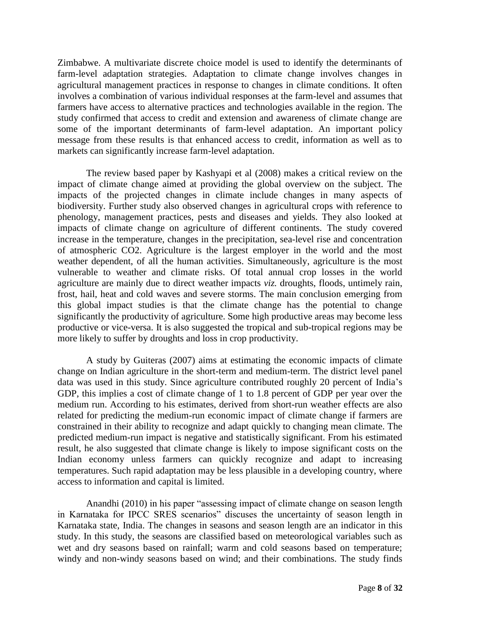Zimbabwe. A multivariate discrete choice model is used to identify the determinants of farm-level adaptation strategies. Adaptation to climate change involves changes in agricultural management practices in response to changes in climate conditions. It often involves a combination of various individual responses at the farm-level and assumes that farmers have access to alternative practices and technologies available in the region. The study confirmed that access to credit and extension and awareness of climate change are some of the important determinants of farm-level adaptation. An important policy message from these results is that enhanced access to credit, information as well as to markets can significantly increase farm-level adaptation.

The review based paper by Kashyapi et al (2008) makes a critical review on the impact of climate change aimed at providing the global overview on the subject. The impacts of the projected changes in climate include changes in many aspects of biodiversity. Further study also observed changes in agricultural crops with reference to phenology, management practices, pests and diseases and yields. They also looked at impacts of climate change on agriculture of different continents. The study covered increase in the temperature, changes in the precipitation, sea-level rise and concentration of atmospheric CO2. Agriculture is the largest employer in the world and the most weather dependent, of all the human activities. Simultaneously, agriculture is the most vulnerable to weather and climate risks. Of total annual crop losses in the world agriculture are mainly due to direct weather impacts *viz.* droughts, floods, untimely rain, frost, hail, heat and cold waves and severe storms. The main conclusion emerging from this global impact studies is that the climate change has the potential to change significantly the productivity of agriculture. Some high productive areas may become less productive or vice-versa. It is also suggested the tropical and sub-tropical regions may be more likely to suffer by droughts and loss in crop productivity.

A study by Guiteras (2007) aims at estimating the economic impacts of climate change on Indian agriculture in the short-term and medium-term. The district level panel data was used in this study. Since agriculture contributed roughly 20 percent of India"s GDP, this implies a cost of climate change of 1 to 1.8 percent of GDP per year over the medium run. According to his estimates, derived from short-run weather effects are also related for predicting the medium-run economic impact of climate change if farmers are constrained in their ability to recognize and adapt quickly to changing mean climate. The predicted medium-run impact is negative and statistically significant. From his estimated result, he also suggested that climate change is likely to impose significant costs on the Indian economy unless farmers can quickly recognize and adapt to increasing temperatures. Such rapid adaptation may be less plausible in a developing country, where access to information and capital is limited.

Anandhi (2010) in his paper "assessing impact of climate change on season length in Karnataka for IPCC SRES scenarios" discuses the uncertainty of season length in Karnataka state, India. The changes in seasons and season length are an indicator in this study. In this study, the seasons are classified based on meteorological variables such as wet and dry seasons based on rainfall; warm and cold seasons based on temperature; windy and non-windy seasons based on wind; and their combinations. The study finds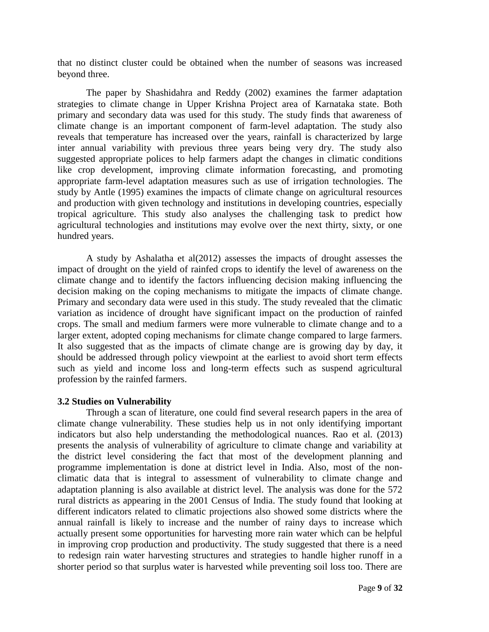that no distinct cluster could be obtained when the number of seasons was increased beyond three.

The paper by Shashidahra and Reddy (2002) examines the farmer adaptation strategies to climate change in Upper Krishna Project area of Karnataka state. Both primary and secondary data was used for this study. The study finds that awareness of climate change is an important component of farm-level adaptation. The study also reveals that temperature has increased over the years, rainfall is characterized by large inter annual variability with previous three years being very dry. The study also suggested appropriate polices to help farmers adapt the changes in climatic conditions like crop development, improving climate information forecasting, and promoting appropriate farm-level adaptation measures such as use of irrigation technologies. The study by Antle (1995) examines the impacts of climate change on agricultural resources and production with given technology and institutions in developing countries, especially tropical agriculture. This study also analyses the challenging task to predict how agricultural technologies and institutions may evolve over the next thirty, sixty, or one hundred years.

A study by Ashalatha et al(2012) assesses the impacts of drought assesses the impact of drought on the yield of rainfed crops to identify the level of awareness on the climate change and to identify the factors influencing decision making influencing the decision making on the coping mechanisms to mitigate the impacts of climate change. Primary and secondary data were used in this study. The study revealed that the climatic variation as incidence of drought have significant impact on the production of rainfed crops. The small and medium farmers were more vulnerable to climate change and to a larger extent, adopted coping mechanisms for climate change compared to large farmers. It also suggested that as the impacts of climate change are is growing day by day, it should be addressed through policy viewpoint at the earliest to avoid short term effects such as yield and income loss and long-term effects such as suspend agricultural profession by the rainfed farmers.

#### **3.2 Studies on Vulnerability**

Through a scan of literature, one could find several research papers in the area of climate change vulnerability. These studies help us in not only identifying important indicators but also help understanding the methodological nuances. Rao et al. (2013) presents the analysis of vulnerability of agriculture to climate change and variability at the district level considering the fact that most of the development planning and programme implementation is done at district level in India. Also, most of the nonclimatic data that is integral to assessment of vulnerability to climate change and adaptation planning is also available at district level. The analysis was done for the 572 rural districts as appearing in the 2001 Census of India. The study found that looking at different indicators related to climatic projections also showed some districts where the annual rainfall is likely to increase and the number of rainy days to increase which actually present some opportunities for harvesting more rain water which can be helpful in improving crop production and productivity. The study suggested that there is a need to redesign rain water harvesting structures and strategies to handle higher runoff in a shorter period so that surplus water is harvested while preventing soil loss too. There are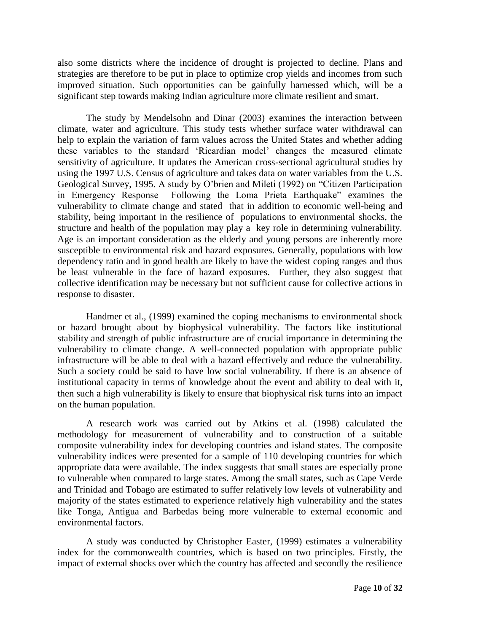also some districts where the incidence of drought is projected to decline. Plans and strategies are therefore to be put in place to optimize crop yields and incomes from such improved situation. Such opportunities can be gainfully harnessed which, will be a significant step towards making Indian agriculture more climate resilient and smart.

The study by Mendelsohn and Dinar (2003) examines the interaction between climate, water and agriculture. This study tests whether surface water withdrawal can help to explain the variation of farm values across the United States and whether adding these variables to the standard "Ricardian model" changes the measured climate sensitivity of agriculture. It updates the American cross-sectional agricultural studies by using the 1997 U.S. Census of agriculture and takes data on water variables from the U.S. Geological Survey, 1995. A study by O"brien and Mileti (1992) on "Citizen Participation in Emergency Response Following the Loma Prieta Earthquake" examines the vulnerability to climate change and stated that in addition to economic well-being and stability, being important in the resilience of populations to environmental shocks, the structure and health of the population may play a key role in determining vulnerability. Age is an important consideration as the elderly and young persons are inherently more susceptible to environmental risk and hazard exposures. Generally, populations with low dependency ratio and in good health are likely to have the widest coping ranges and thus be least vulnerable in the face of hazard exposures. Further, they also suggest that collective identification may be necessary but not sufficient cause for collective actions in response to disaster.

Handmer et al., (1999) examined the coping mechanisms to environmental shock or hazard brought about by biophysical vulnerability. The factors like institutional stability and strength of public infrastructure are of crucial importance in determining the vulnerability to climate change. A well-connected population with appropriate public infrastructure will be able to deal with a hazard effectively and reduce the vulnerability. Such a society could be said to have low social vulnerability. If there is an absence of institutional capacity in terms of knowledge about the event and ability to deal with it, then such a high vulnerability is likely to ensure that biophysical risk turns into an impact on the human population.

A research work was carried out by Atkins et al. (1998) calculated the methodology for measurement of vulnerability and to construction of a suitable composite vulnerability index for developing countries and island states. The composite vulnerability indices were presented for a sample of 110 developing countries for which appropriate data were available. The index suggests that small states are especially prone to vulnerable when compared to large states. Among the small states, such as Cape Verde and Trinidad and Tobago are estimated to suffer relatively low levels of vulnerability and majority of the states estimated to experience relatively high vulnerability and the states like Tonga, Antigua and Barbedas being more vulnerable to external economic and environmental factors.

A study was conducted by Christopher Easter, (1999) estimates a vulnerability index for the commonwealth countries, which is based on two principles. Firstly, the impact of external shocks over which the country has affected and secondly the resilience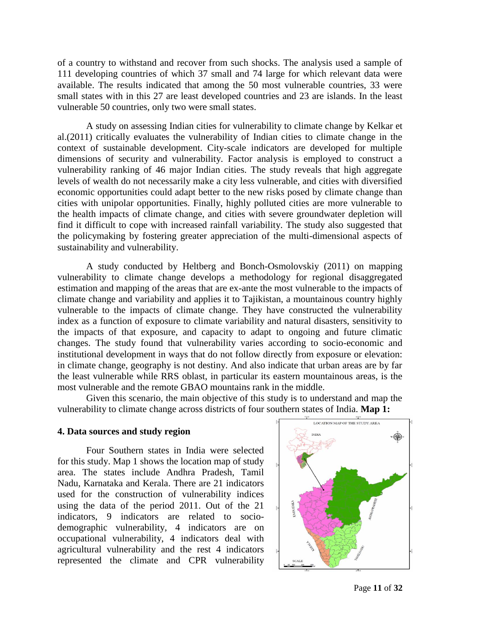of a country to withstand and recover from such shocks. The analysis used a sample of 111 developing countries of which 37 small and 74 large for which relevant data were available. The results indicated that among the 50 most vulnerable countries, 33 were small states with in this 27 are least developed countries and 23 are islands. In the least vulnerable 50 countries, only two were small states.

A study on assessing Indian cities for vulnerability to climate change by Kelkar et al.(2011) critically evaluates the vulnerability of Indian cities to climate change in the context of sustainable development. City-scale indicators are developed for multiple dimensions of security and vulnerability. Factor analysis is employed to construct a vulnerability ranking of 46 major Indian cities. The study reveals that high aggregate levels of wealth do not necessarily make a city less vulnerable, and cities with diversified economic opportunities could adapt better to the new risks posed by climate change than cities with unipolar opportunities. Finally, highly polluted cities are more vulnerable to the health impacts of climate change, and cities with severe groundwater depletion will find it difficult to cope with increased rainfall variability. The study also suggested that the policymaking by fostering greater appreciation of the multi-dimensional aspects of sustainability and vulnerability.

A study conducted by Heltberg and Bonch-Osmolovskiy (2011) on mapping vulnerability to climate change develops a methodology for regional disaggregated estimation and mapping of the areas that are ex-ante the most vulnerable to the impacts of climate change and variability and applies it to Tajikistan, a mountainous country highly vulnerable to the impacts of climate change. They have constructed the vulnerability index as a function of exposure to climate variability and natural disasters, sensitivity to the impacts of that exposure, and capacity to adapt to ongoing and future climatic changes. The study found that vulnerability varies according to socio-economic and institutional development in ways that do not follow directly from exposure or elevation: in climate change, geography is not destiny. And also indicate that urban areas are by far the least vulnerable while RRS oblast, in particular its eastern mountainous areas, is the most vulnerable and the remote GBAO mountains rank in the middle.

Given this scenario, the main objective of this study is to understand and map the vulnerability to climate change across districts of four southern states of India. **Map 1:**

#### **4. Data sources and study region**

Four Southern states in India were selected for this study. Map 1 shows the location map of study area. The states include Andhra Pradesh, Tamil Nadu, Karnataka and Kerala. There are 21 indicators used for the construction of vulnerability indices using the data of the period 2011. Out of the 21 indicators, 9 indicators are related to sociodemographic vulnerability, 4 indicators are on occupational vulnerability, 4 indicators deal with agricultural vulnerability and the rest 4 indicators represented the climate and CPR vulnerability



Page **11** of **32**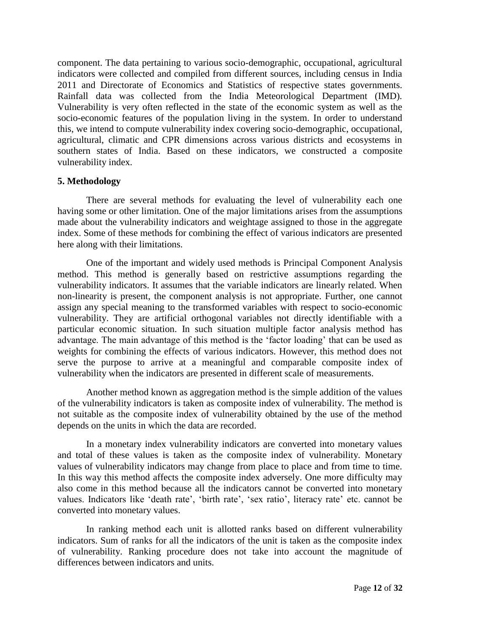component. The data pertaining to various socio-demographic, occupational, agricultural indicators were collected and compiled from different sources, including census in India 2011 and Directorate of Economics and Statistics of respective states governments. Rainfall data was collected from the India Meteorological Department (IMD). Vulnerability is very often reflected in the state of the economic system as well as the socio-economic features of the population living in the system. In order to understand this, we intend to compute vulnerability index covering socio-demographic, occupational, agricultural, climatic and CPR dimensions across various districts and ecosystems in southern states of India. Based on these indicators, we constructed a composite vulnerability index.

#### **5. Methodology**

There are several methods for evaluating the level of vulnerability each one having some or other limitation. One of the major limitations arises from the assumptions made about the vulnerability indicators and weightage assigned to those in the aggregate index. Some of these methods for combining the effect of various indicators are presented here along with their limitations.

One of the important and widely used methods is Principal Component Analysis method. This method is generally based on restrictive assumptions regarding the vulnerability indicators. It assumes that the variable indicators are linearly related. When non-linearity is present, the component analysis is not appropriate. Further, one cannot assign any special meaning to the transformed variables with respect to socio-economic vulnerability. They are artificial orthogonal variables not directly identifiable with a particular economic situation. In such situation multiple factor analysis method has advantage. The main advantage of this method is the "factor loading" that can be used as weights for combining the effects of various indicators. However, this method does not serve the purpose to arrive at a meaningful and comparable composite index of vulnerability when the indicators are presented in different scale of measurements.

Another method known as aggregation method is the simple addition of the values of the vulnerability indicators is taken as composite index of vulnerability. The method is not suitable as the composite index of vulnerability obtained by the use of the method depends on the units in which the data are recorded.

In a monetary index vulnerability indicators are converted into monetary values and total of these values is taken as the composite index of vulnerability. Monetary values of vulnerability indicators may change from place to place and from time to time. In this way this method affects the composite index adversely. One more difficulty may also come in this method because all the indicators cannot be converted into monetary values. Indicators like 'death rate', 'birth rate', 'sex ratio', literacy rate' etc. cannot be converted into monetary values.

In ranking method each unit is allotted ranks based on different vulnerability indicators. Sum of ranks for all the indicators of the unit is taken as the composite index of vulnerability. Ranking procedure does not take into account the magnitude of differences between indicators and units.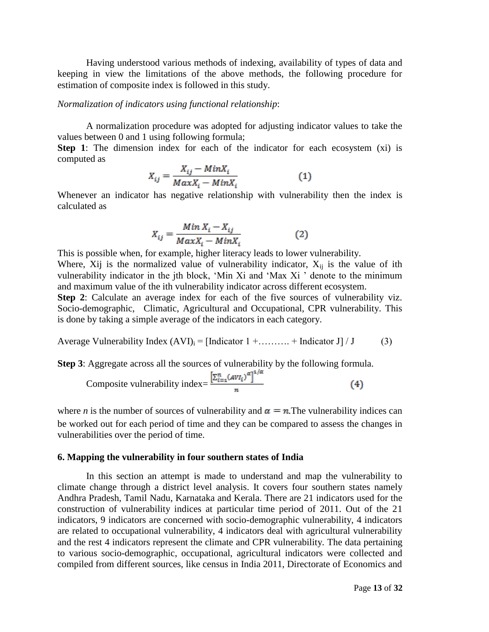Having understood various methods of indexing, availability of types of data and keeping in view the limitations of the above methods, the following procedure for estimation of composite index is followed in this study.

#### *Normalization of indicators using functional relationship*:

A normalization procedure was adopted for adjusting indicator values to take the values between 0 and 1 using following formula;

**Step 1**: The dimension index for each of the indicator for each ecosystem (xi) is computed as

$$
X_{ij} = \frac{X_{ij} - MinX_i}{MaxX_i - MinX_i}
$$
 (1)

Whenever an indicator has negative relationship with vulnerability then the index is calculated as

$$
X_{ij} = \frac{Min X_i - X_{ij}}{Max X_i - Min X_i}
$$
 (2)

This is possible when, for example, higher literacy leads to lower vulnerability. Where, Xij is the normalized value of vulnerability indicator,  $X_{ii}$  is the value of ith vulnerability indicator in the jth block, "Min Xi and "Max Xi " denote to the minimum and maximum value of the ith vulnerability indicator across different ecosystem.

**Step 2**: Calculate an average index for each of the five sources of vulnerability viz. Socio-demographic, Climatic, Agricultural and Occupational, CPR vulnerability. This is done by taking a simple average of the indicators in each category.

Average Vulnerability Index  $(AVI)_i = [Indication 1 + \dots + Indication J] / J$  (3)

**Step 3**: Aggregate across all the sources of vulnerability by the following formula.

Composite vulnerability index = 
$$
\frac{\left[\sum_{i=1}^{n} (AVI_i)^{\alpha}\right]^{1/\alpha}}{n}
$$
 (4)

where *n* is the number of sources of vulnerability and  $\alpha = n$ . The vulnerability indices can be worked out for each period of time and they can be compared to assess the changes in vulnerabilities over the period of time.

#### **6. Mapping the vulnerability in four southern states of India**

In this section an attempt is made to understand and map the vulnerability to climate change through a district level analysis. It covers four southern states namely Andhra Pradesh, Tamil Nadu, Karnataka and Kerala. There are 21 indicators used for the construction of vulnerability indices at particular time period of 2011. Out of the 21 indicators, 9 indicators are concerned with socio-demographic vulnerability, 4 indicators are related to occupational vulnerability, 4 indicators deal with agricultural vulnerability and the rest 4 indicators represent the climate and CPR vulnerability. The data pertaining to various socio-demographic, occupational, agricultural indicators were collected and compiled from different sources, like census in India 2011, Directorate of Economics and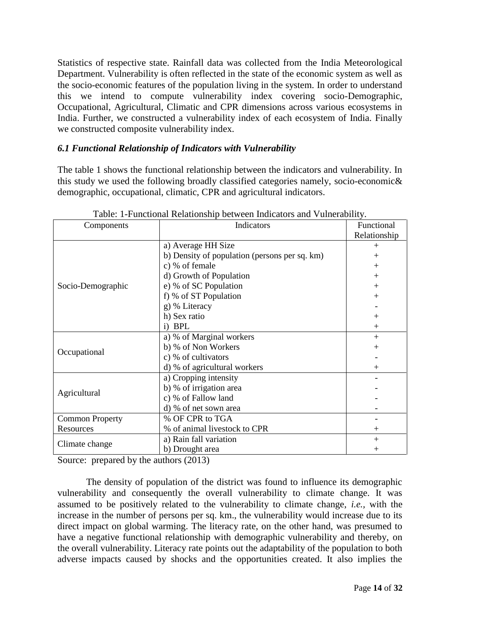Statistics of respective state. Rainfall data was collected from the India Meteorological Department. Vulnerability is often reflected in the state of the economic system as well as the socio-economic features of the population living in the system. In order to understand this we intend to compute vulnerability index covering socio-Demographic, Occupational, Agricultural, Climatic and CPR dimensions across various ecosystems in India. Further, we constructed a vulnerability index of each ecosystem of India. Finally we constructed composite vulnerability index.

#### *6.1 Functional Relationship of Indicators with Vulnerability*

The table 1 shows the functional relationship between the indicators and vulnerability. In this study we used the following broadly classified categories namely, socio-economic& demographic, occupational, climatic, CPR and agricultural indicators.

| Components             | Indicators                                    | Functional   |
|------------------------|-----------------------------------------------|--------------|
|                        |                                               | Relationship |
|                        | a) Average HH Size                            | $+$          |
|                        | b) Density of population (persons per sq. km) | $+$          |
|                        | c) % of female                                | $+$          |
|                        | d) Growth of Population                       | $+$          |
| Socio-Demographic      | e) % of SC Population                         | $+$          |
|                        | f) % of ST Population                         | $+$          |
|                        | g) % Literacy                                 |              |
|                        | h) Sex ratio                                  | $+$          |
|                        | i) BPL                                        | $+$          |
|                        | a) % of Marginal workers                      | $+$          |
| Occupational           | b) % of Non Workers                           | $+$          |
|                        | c) % of cultivators                           |              |
|                        | d) % of agricultural workers                  | $+$          |
|                        | a) Cropping intensity                         |              |
| Agricultural           | b) % of irrigation area                       |              |
|                        | c) % of Fallow land                           |              |
|                        | d) % of net sown area                         |              |
| <b>Common Property</b> | % OF CPR to TGA                               |              |
| Resources              | % of animal livestock to CPR                  | $+$          |
|                        | a) Rain fall variation                        | $+$          |
| Climate change         | b) Drought area                               | $^{+}$       |

Table: 1-Functional Relationship between Indicators and Vulnerability.

Source: prepared by the authors  $(2013)$ 

The density of population of the district was found to influence its demographic vulnerability and consequently the overall vulnerability to climate change. It was assumed to be positively related to the vulnerability to climate change, *i.e.,* with the increase in the number of persons per sq. km., the vulnerability would increase due to its direct impact on global warming. The literacy rate, on the other hand, was presumed to have a negative functional relationship with demographic vulnerability and thereby, on the overall vulnerability. Literacy rate points out the adaptability of the population to both adverse impacts caused by shocks and the opportunities created. It also implies the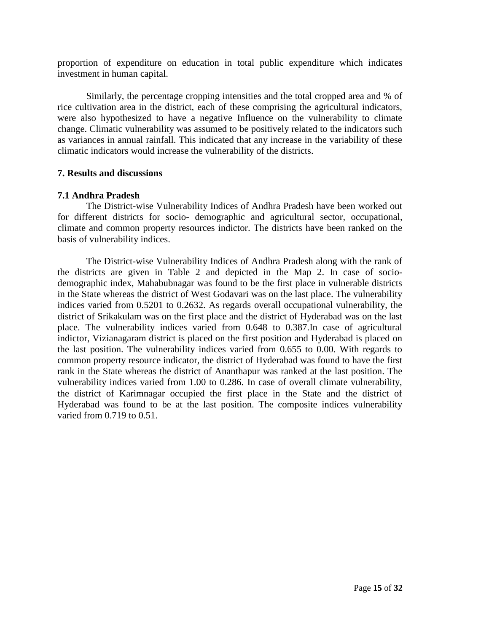proportion of expenditure on education in total public expenditure which indicates investment in human capital.

Similarly, the percentage cropping intensities and the total cropped area and % of rice cultivation area in the district, each of these comprising the agricultural indicators, were also hypothesized to have a negative Influence on the vulnerability to climate change. Climatic vulnerability was assumed to be positively related to the indicators such as variances in annual rainfall. This indicated that any increase in the variability of these climatic indicators would increase the vulnerability of the districts.

#### **7. Results and discussions**

#### **7.1 Andhra Pradesh**

The District-wise Vulnerability Indices of Andhra Pradesh have been worked out for different districts for socio- demographic and agricultural sector, occupational, climate and common property resources indictor. The districts have been ranked on the basis of vulnerability indices.

The District-wise Vulnerability Indices of Andhra Pradesh along with the rank of the districts are given in Table 2 and depicted in the Map 2. In case of sociodemographic index, Mahabubnagar was found to be the first place in vulnerable districts in the State whereas the district of West Godavari was on the last place. The vulnerability indices varied from 0.5201 to 0.2632. As regards overall occupational vulnerability, the district of Srikakulam was on the first place and the district of Hyderabad was on the last place. The vulnerability indices varied from 0.648 to 0.387.In case of agricultural indictor, Vizianagaram district is placed on the first position and Hyderabad is placed on the last position. The vulnerability indices varied from 0.655 to 0.00. With regards to common property resource indicator, the district of Hyderabad was found to have the first rank in the State whereas the district of Ananthapur was ranked at the last position. The vulnerability indices varied from 1.00 to 0.286. In case of overall climate vulnerability, the district of Karimnagar occupied the first place in the State and the district of Hyderabad was found to be at the last position. The composite indices vulnerability varied from 0.719 to 0.51.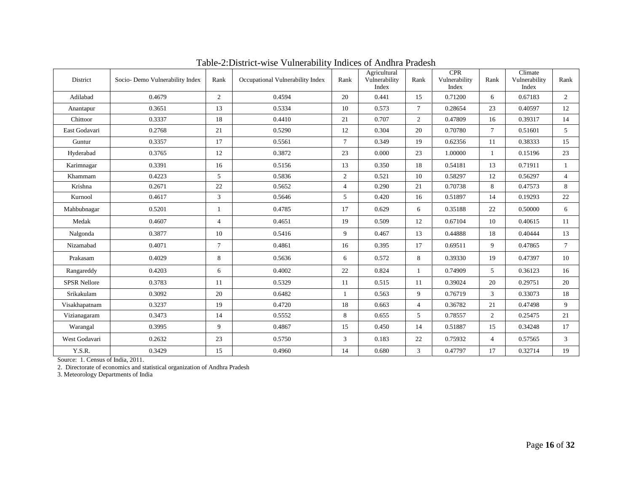| District            | Socio- Demo Vulnerability Index | Rank           | Occupational Vulnerability Index | Rank           | Agricultural<br>Vulnerability<br>Index | Rank           | <b>CPR</b><br>Vulnerability<br>Index | Rank           | Climate<br>Vulnerability<br>Index | Rank            |
|---------------------|---------------------------------|----------------|----------------------------------|----------------|----------------------------------------|----------------|--------------------------------------|----------------|-----------------------------------|-----------------|
| Adilabad            | 0.4679                          | $\overline{2}$ | 0.4594                           | 20             | 0.441                                  | 15             | 0.71200                              | 6              | 0.67183                           | $\overline{2}$  |
| Anantapur           | 0.3651                          | 13             | 0.5334                           | 10             | 0.573                                  | $\tau$         | 0.28654                              | 23             | 0.40597                           | 12              |
| Chittoor            | 0.3337                          | 18             | 0.4410                           | 21             | 0.707                                  | $\overline{2}$ | 0.47809                              | 16             | 0.39317                           | 14              |
| East Godavari       | 0.2768                          | 21             | 0.5290                           | 12             | 0.304                                  | 20             | 0.70780                              | $\tau$         | 0.51601                           | 5               |
| Guntur              | 0.3357                          | 17             | 0.5561                           | $\overline{7}$ | 0.349                                  | 19             | 0.62356                              | 11             | 0.38333                           | 15              |
| Hyderabad           | 0.3765                          | 12             | 0.3872                           | 23             | 0.000                                  | 23             | 1.00000                              | $\mathbf{1}$   | 0.15196                           | 23              |
| Karimnagar          | 0.3391                          | 16             | 0.5156                           | 13             | 0.350                                  | 18             | 0.54181                              | 13             | 0.71911                           | $\mathbf{1}$    |
| Khammam             | 0.4223                          | 5              | 0.5836                           | 2              | 0.521                                  | 10             | 0.58297                              | 12             | 0.56297                           | $\overline{4}$  |
| Krishna             | 0.2671                          | 22             | 0.5652                           | $\overline{4}$ | 0.290                                  | 21             | 0.70738                              | 8              | 0.47573                           | 8               |
| Kurnool             | 0.4617                          | $\mathbf{3}$   | 0.5646                           | 5              | 0.420                                  | 16             | 0.51897                              | 14             | 0.19293                           | 22              |
| Mahbubnagar         | 0.5201                          | 1              | 0.4785                           | 17             | 0.629                                  | 6              | 0.35188                              | 22             | 0.50000                           | 6               |
| Medak               | 0.4607                          | $\overline{4}$ | 0.4651                           | 19             | 0.509                                  | 12             | 0.67104                              | 10             | 0.40615                           | 11              |
| Nalgonda            | 0.3877                          | 10             | 0.5416                           | 9              | 0.467                                  | 13             | 0.44888                              | 18             | 0.40444                           | 13              |
| Nizamabad           | 0.4071                          | $\tau$         | 0.4861                           | 16             | 0.395                                  | 17             | 0.69511                              | 9              | 0.47865                           | $7\overline{ }$ |
| Prakasam            | 0.4029                          | 8              | 0.5636                           | 6              | 0.572                                  | 8              | 0.39330                              | 19             | 0.47397                           | 10              |
| Rangareddy          | 0.4203                          | 6              | 0.4002                           | 22             | 0.824                                  | $\mathbf{1}$   | 0.74909                              | $\overline{5}$ | 0.36123                           | 16              |
| <b>SPSR Nellore</b> | 0.3783                          | 11             | 0.5329                           | 11             | 0.515                                  | 11             | 0.39024                              | 20             | 0.29751                           | 20              |
| Srikakulam          | 0.3092                          | 20             | 0.6482                           | $\mathbf{1}$   | 0.563                                  | 9              | 0.76719                              | 3              | 0.33073                           | 18              |
| Visakhapatnam       | 0.3237                          | 19             | 0.4720                           | 18             | 0.663                                  | $\overline{4}$ | 0.36782                              | 21             | 0.47498                           | 9               |
| Vizianagaram        | 0.3473                          | 14             | 0.5552                           | 8              | 0.655                                  | 5              | 0.78557                              | 2              | 0.25475                           | 21              |
| Warangal            | 0.3995                          | 9              | 0.4867                           | 15             | 0.450                                  | 14             | 0.51887                              | 15             | 0.34248                           | 17              |
| West Godavari       | 0.2632                          | 23             | 0.5750                           | 3              | 0.183                                  | 22             | 0.75932                              | $\overline{4}$ | 0.57565                           | 3               |
| Y.S.R.              | 0.3429                          | 15             | 0.4960                           | 14             | 0.680                                  | 3              | 0.47797                              | 17             | 0.32714                           | 19              |

Table-2:District-wise Vulnerability Indices of Andhra Pradesh

Source: 1. Census of India, 2011.

2. Directorate of economics and statistical organization of Andhra Pradesh

3. Meteorology Departments of India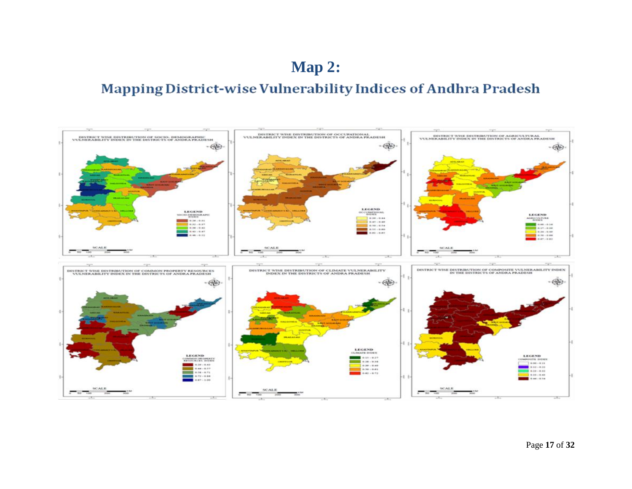## **Map 2:**

## **Mapping District-wise Vulnerability Indices of Andhra Pradesh**

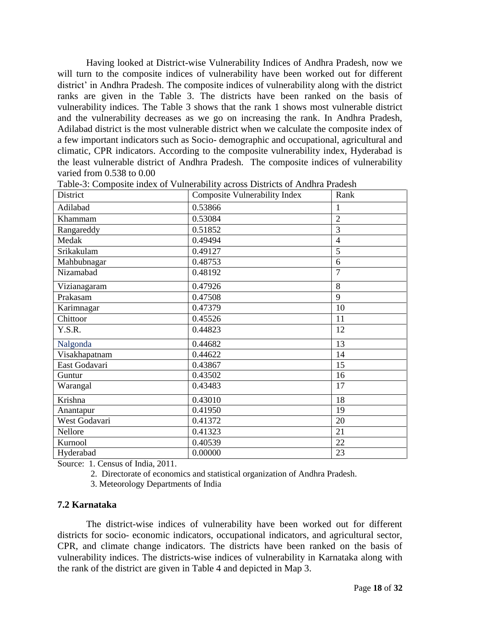Having looked at District-wise Vulnerability Indices of Andhra Pradesh, now we will turn to the composite indices of vulnerability have been worked out for different district' in Andhra Pradesh. The composite indices of vulnerability along with the district ranks are given in the Table 3. The districts have been ranked on the basis of vulnerability indices. The Table 3 shows that the rank 1 shows most vulnerable district and the vulnerability decreases as we go on increasing the rank. In Andhra Pradesh, Adilabad district is the most vulnerable district when we calculate the composite index of a few important indicators such as Socio- demographic and occupational, agricultural and climatic, CPR indicators. According to the composite vulnerability index, Hyderabad is the least vulnerable district of Andhra Pradesh. The composite indices of vulnerability varied from 0.538 to 0.00

| District                     | <b>Composite Vulnerability Index</b> | Rank           |
|------------------------------|--------------------------------------|----------------|
| Adilabad                     | 0.53866                              | $\mathbf{1}$   |
| Khammam                      | 0.53084                              | $\overline{2}$ |
| Rangareddy                   | 0.51852                              | 3              |
| Medak                        | 0.49494                              | $\overline{4}$ |
| Srikakulam                   | 0.49127                              | 5              |
| Mahbubnagar                  | 0.48753                              | 6              |
| Nizamabad                    | 0.48192                              | $\overline{7}$ |
| Vizianagaram                 | 0.47926                              | 8              |
| Prakasam                     | 0.47508                              | 9              |
| Karimnagar                   | 0.47379                              | 10             |
| Chittoor                     | 0.45526                              | 11             |
| Y.S.R.                       | 0.44823                              | 12             |
| Nalgonda                     | 0.44682                              | 13             |
| Visakhapatnam                | 0.44622                              | 14             |
| East Godavari                | 0.43867                              | 15             |
| Guntur                       | 0.43502                              | 16             |
| Warangal                     | 0.43483                              | 17             |
| $\overline{\text{K}}$ rishna | 0.43010                              | 18             |
| Anantapur                    | 0.41950                              | 19             |
| West Godavari                | 0.41372                              | 20             |
| Nellore                      | 0.41323                              | 21             |
| Kurnool                      | 0.40539                              | 22             |
| Hyderabad                    | 0.00000                              | 23             |

Table-3: Composite index of Vulnerability across Districts of Andhra Pradesh

Source: 1. Census of India, 2011.

2. Directorate of economics and statistical organization of Andhra Pradesh.

3. Meteorology Departments of India

#### **7.2 Karnataka**

The district-wise indices of vulnerability have been worked out for different districts for socio- economic indicators, occupational indicators, and agricultural sector, CPR, and climate change indicators. The districts have been ranked on the basis of vulnerability indices. The districts-wise indices of vulnerability in Karnataka along with the rank of the district are given in Table 4 and depicted in Map 3.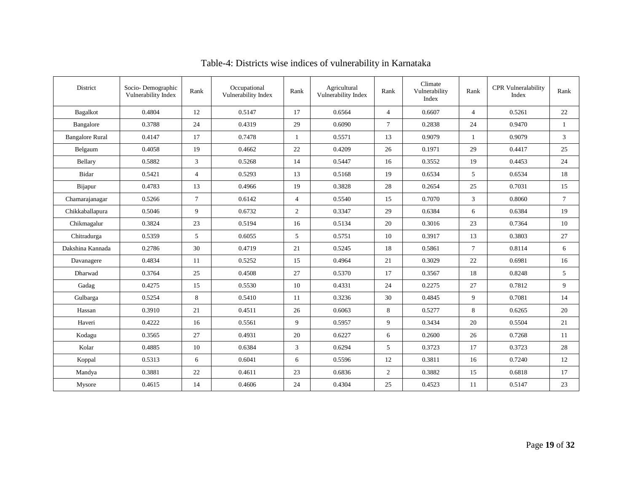| District               | Socio-Demographic<br>Vulnerability Index | Rank           | Occupational<br>Vulnerability Index | Rank           | Agricultural<br>Vulnerability Index | Rank           | Climate<br>Vulnerability<br>Index | Rank           | <b>CPR</b> Vulneralability<br>Index | Rank            |
|------------------------|------------------------------------------|----------------|-------------------------------------|----------------|-------------------------------------|----------------|-----------------------------------|----------------|-------------------------------------|-----------------|
| <b>Bagalkot</b>        | 0.4804                                   | 12             | 0.5147                              | 17             | 0.6564                              | $\overline{4}$ | 0.6607                            | $\overline{4}$ | 0.5261                              | 22              |
| Bangalore              | 0.3788                                   | 24             | 0.4319                              | 29             | 0.6090                              | $\tau$         | 0.2838                            | 24             | 0.9470                              | 1               |
| <b>Bangalore Rural</b> | 0.4147                                   | 17             | 0.7478                              | 1              | 0.5571                              | 13             | 0.9079                            | 1              | 0.9079                              | $\overline{3}$  |
| Belgaum                | 0.4058                                   | 19             | 0.4662                              | 22             | 0.4209                              | 26             | 0.1971                            | 29             | 0.4417                              | 25              |
| Bellary                | 0.5882                                   | 3              | 0.5268                              | 14             | 0.5447                              | 16             | 0.3552                            | 19             | 0.4453                              | 24              |
| Bidar                  | 0.5421                                   | $\overline{4}$ | 0.5293                              | 13             | 0.5168                              | 19             | 0.6534                            | 5              | 0.6534                              | 18              |
| Bijapur                | 0.4783                                   | 13             | 0.4966                              | 19             | 0.3828                              | 28             | 0.2654                            | 25             | 0.7031                              | 15              |
| Chamarajanagar         | 0.5266                                   | $\tau$         | 0.6142                              | $\overline{4}$ | 0.5540                              | 15             | 0.7070                            | 3              | 0.8060                              | $7\overline{ }$ |
| Chikkaballapura        | 0.5046                                   | 9              | 0.6732                              | $\overline{2}$ | 0.3347                              | 29             | 0.6384                            | 6              | 0.6384                              | 19              |
| Chikmagalur            | 0.3824                                   | 23             | 0.5194                              | 16             | 0.5134                              | 20             | 0.3016                            | 23             | 0.7364                              | 10              |
| Chitradurga            | 0.5359                                   | 5              | 0.6055                              | 5              | 0.5751                              | 10             | 0.3917                            | 13             | 0.3803                              | 27              |
| Dakshina Kannada       | 0.2786                                   | 30             | 0.4719                              | 21             | 0.5245                              | 18             | 0.5861                            | $\tau$         | 0.8114                              | 6               |
| Davanagere             | 0.4834                                   | 11             | 0.5252                              | 15             | 0.4964                              | 21             | 0.3029                            | $22\,$         | 0.6981                              | 16              |
| Dharwad                | 0.3764                                   | 25             | 0.4508                              | 27             | 0.5370                              | 17             | 0.3567                            | 18             | 0.8248                              | 5               |
| Gadag                  | 0.4275                                   | 15             | 0.5530                              | 10             | 0.4331                              | 24             | 0.2275                            | 27             | 0.7812                              | 9               |
| Gulbarga               | 0.5254                                   | 8              | 0.5410                              | 11             | 0.3236                              | 30             | 0.4845                            | 9              | 0.7081                              | 14              |
| Hassan                 | 0.3910                                   | 21             | 0.4511                              | 26             | 0.6063                              | 8              | 0.5277                            | 8              | 0.6265                              | 20              |
| Haveri                 | 0.4222                                   | 16             | 0.5561                              | 9              | 0.5957                              | 9              | 0.3434                            | 20             | 0.5504                              | 21              |
| Kodagu                 | 0.3565                                   | 27             | 0.4931                              | 20             | 0.6227                              | 6              | 0.2600                            | 26             | 0.7268                              | 11              |
| Kolar                  | 0.4885                                   | 10             | 0.6384                              | 3              | 0.6294                              | 5              | 0.3723                            | 17             | 0.3723                              | 28              |
| Koppal                 | 0.5313                                   | 6              | 0.6041                              | 6              | 0.5596                              | 12             | 0.3811                            | 16             | 0.7240                              | 12              |
| Mandya                 | 0.3881                                   | 22             | 0.4611                              | 23             | 0.6836                              | $\overline{2}$ | 0.3882                            | 15             | 0.6818                              | 17              |
| Mysore                 | 0.4615                                   | 14             | 0.4606                              | 24             | 0.4304                              | 25             | 0.4523                            | 11             | 0.5147                              | 23              |

## Table-4: Districts wise indices of vulnerability in Karnataka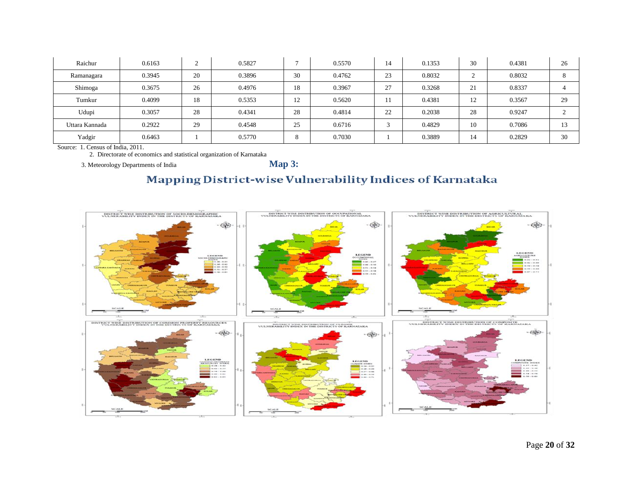| Raichur        | 0.6163 | ◠  | 0.5827 |    | 0.5570 | 14 | 0.1353 | 30 | 0.4381 | 26 |
|----------------|--------|----|--------|----|--------|----|--------|----|--------|----|
| Ramanagara     | 0.3945 | 20 | 0.3896 | 30 | 0.4762 | 23 | 0.8032 |    | 0.8032 |    |
| Shimoga        | 0.3675 | 26 | 0.4976 | 18 | 0.3967 | 27 | 0.3268 | 21 | 0.8337 |    |
| Tumkur         | 0.4099 | 18 | 0.5353 | 12 | 0.5620 |    | 0.4381 | 12 | 0.3567 | 29 |
| Udupi          | 0.3057 | 28 | 0.4341 | 28 | 0.4814 | 22 | 0.2038 | 28 | 0.9247 |    |
| Uttara Kannada | 0.2922 | 29 | 0.4548 | 25 | 0.6716 |    | 0.4829 | 10 | 0.7086 | 13 |
| Yadgir         | 0.6463 |    | 0.5770 |    | 0.7030 |    | 0.3889 | 14 | 0.2829 | 30 |

Source: 1. Census of India, 2011.

2. Directorate of economics and statistical organization of Karnataka

3. Meteorology Departments of India **Map 3:**

### Mapping District-wise Vulnerability Indices of Karnataka

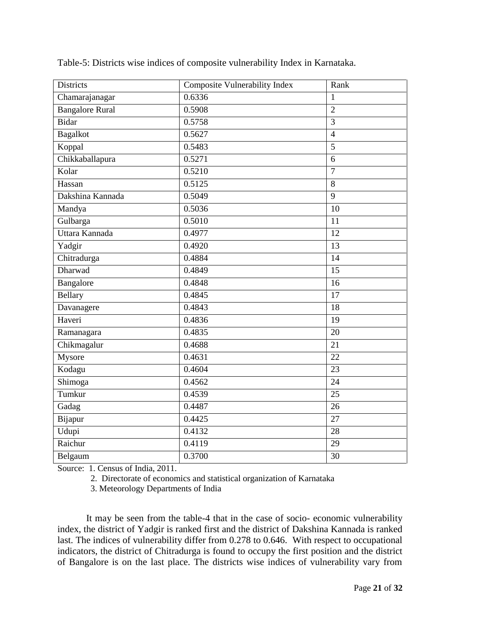| <b>Districts</b>       | <b>Composite Vulnerability Index</b> | Rank            |
|------------------------|--------------------------------------|-----------------|
| Chamarajanagar         | 0.6336                               | $\mathbf{1}$    |
| <b>Bangalore Rural</b> | 0.5908                               | $\overline{2}$  |
| Bidar                  | 0.5758                               | 3               |
| <b>Bagalkot</b>        | 0.5627                               | $\overline{4}$  |
| Koppal                 | 0.5483                               | 5               |
| Chikkaballapura        | 0.5271                               | 6               |
| Kolar                  | 0.5210                               | $\overline{7}$  |
| Hassan                 | 0.5125                               | 8               |
| Dakshina Kannada       | 0.5049                               | 9               |
| Mandya                 | 0.5036                               | 10              |
| Gulbarga               | 0.5010                               | 11              |
| Uttara Kannada         | 0.4977                               | 12              |
| Yadgir                 | 0.4920                               | $\overline{13}$ |
| Chitradurga            | 0.4884                               | 14              |
| Dharwad                | 0.4849                               | 15              |
| Bangalore              | 0.4848                               | $\overline{16}$ |
| <b>Bellary</b>         | 0.4845                               | 17              |
| Davanagere             | 0.4843                               | 18              |
| Haveri                 | 0.4836                               | 19              |
| Ramanagara             | 0.4835                               | 20              |
| Chikmagalur            | 0.4688                               | 21              |
| Mysore                 | 0.4631                               | 22              |
| Kodagu                 | 0.4604                               | $\overline{23}$ |
| Shimoga                | 0.4562                               | 24              |
| Tumkur                 | 0.4539                               | 25              |
| Gadag                  | 0.4487                               | $\overline{26}$ |
| Bijapur                | 0.4425                               | 27              |
| Udupi                  | 0.4132                               | 28              |
| Raichur                | 0.4119                               | 29              |
| Belgaum                | 0.3700                               | 30              |

Table-5: Districts wise indices of composite vulnerability Index in Karnataka.

Source: 1. Census of India, 2011.

2. Directorate of economics and statistical organization of Karnataka

3. Meteorology Departments of India

It may be seen from the table-4 that in the case of socio- economic vulnerability index, the district of Yadgir is ranked first and the district of Dakshina Kannada is ranked last. The indices of vulnerability differ from 0.278 to 0.646. With respect to occupational indicators, the district of Chitradurga is found to occupy the first position and the district of Bangalore is on the last place. The districts wise indices of vulnerability vary from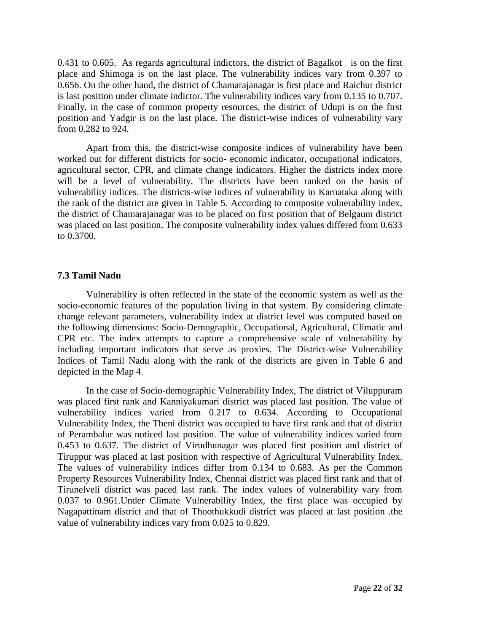0.431 to 0.605. As regards agricultural indictors, the district of Bagalkot is on the first place and Shimoga is on the last place. The vulnerability indices vary from 0.397 to 0.656. On the other hand, the district of Chamarajanagar is first place and Raichur district is last position under climate indictor. The vulnerability indices vary from 0.135 to 0.707. Finally, in the case of common property resources, the district of Udupi is on the first position and Yadgir is on the last place. The district-wise indices of vulnerability vary from 0.282 to 924.

Apart from this, the district-wise composite indices of vulnerability have been worked out for different districts for socio- economic indicator, occupational indicators, agricultural sector, CPR, and climate change indicators. Higher the districts index more will be a level of vulnerability. The districts have been ranked on the basis of vulnerability indices. The districts-wise indices of vulnerability in Karnataka along with the rank of the district are given in Table 5. According to composite vulnerability index, the district of Chamarajanagar was to be placed on first position that of Belgaum district was placed on last position. The composite vulnerability index values differed from 0.633 to 0.3700.

#### **7.3 Tamil Nadu**

Vulnerability is often reflected in the state of the economic system as well as the socio-economic features of the population living in that system. By considering climate change relevant parameters, vulnerability index at district level was computed based on the following dimensions: Socio-Demographic, Occupational, Agricultural, Climatic and CPR etc. The index attempts to capture a comprehensive scale of vulnerability by including important indicators that serve as proxies. The District-wise Vulnerability Indices of Tamil Nadu along with the rank of the districts are given in Table 6 and depicted in the Map 4.

In the case of Socio-demographic Vulnerability Index, The district of Viluppuram was placed first rank and Kanniyakumari district was placed last position. The value of vulnerability indices varied from 0.217 to 0.634. According to Occupational Vulnerability Index, the Theni district was occupied to have first rank and that of district of Perambalur was noticed last position. The value of vulnerability indices varied from 0.453 to 0.637. The district of Virudhunagar was placed first position and district of Tiruppur was placed at last position with respective of Agricultural Vulnerability Index. The values of vulnerability indices differ from 0.134 to 0.683. As per the Common Property Resources Vulnerability Index, Chennai district was placed first rank and that of Tirunelveli district was paced last rank. The index values of vulnerability vary from 0.037 to 0.961.Under Climate Vulnerability Index, the first place was occupied by Nagapattinam district and that of Thoothukkudi district was placed at last position .the value of vulnerability indices vary from 0.025 to 0.829.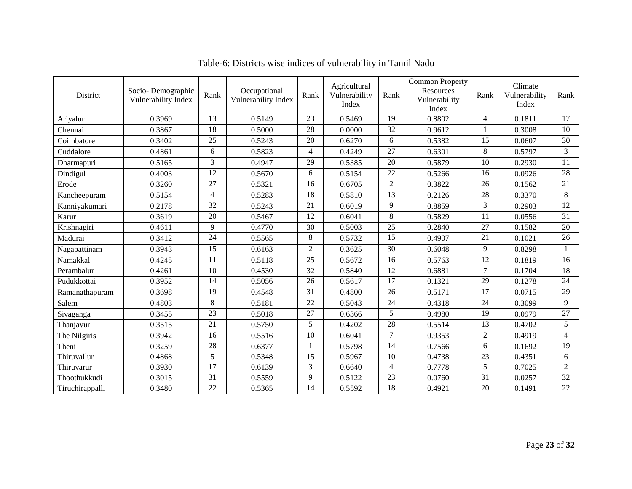| District        | Socio-Demographic<br>Vulnerability Index | Rank           | Occupational<br>Vulnerability Index | Rank           | Agricultural<br>Vulnerability<br>Index | Rank           | <b>Common Property</b><br>Resources<br>Vulnerability<br>Index | Rank           | Climate<br>Vulnerability<br>Index | Rank           |
|-----------------|------------------------------------------|----------------|-------------------------------------|----------------|----------------------------------------|----------------|---------------------------------------------------------------|----------------|-----------------------------------|----------------|
| Ariyalur        | 0.3969                                   | 13             | 0.5149                              | 23             | 0.5469                                 | 19             | 0.8802                                                        | 4              | 0.1811                            | 17             |
| Chennai         | 0.3867                                   | 18             | 0.5000                              | 28             | 0.0000                                 | 32             | 0.9612                                                        | 1              | 0.3008                            | 10             |
| Coimbatore      | 0.3402                                   | 25             | 0.5243                              | 20             | 0.6270                                 | 6              | 0.5382                                                        | 15             | 0.0607                            | 30             |
| Cuddalore       | 0.4861                                   | 6              | 0.5823                              | $\overline{4}$ | 0.4249                                 | 27             | 0.6301                                                        | 8              | 0.5797                            | 3              |
| Dharmapuri      | 0.5165                                   | 3              | 0.4947                              | 29             | 0.5385                                 | 20             | 0.5879                                                        | 10             | 0.2930                            | 11             |
| Dindigul        | 0.4003                                   | 12             | 0.5670                              | 6              | 0.5154                                 | 22             | 0.5266                                                        | 16             | 0.0926                            | 28             |
| Erode           | 0.3260                                   | 27             | 0.5321                              | 16             | 0.6705                                 | $\sqrt{2}$     | 0.3822                                                        | 26             | 0.1562                            | 21             |
| Kancheepuram    | 0.5154                                   | $\overline{4}$ | 0.5283                              | 18             | 0.5810                                 | 13             | 0.2126                                                        | 28             | 0.3370                            | 8              |
| Kanniyakumari   | 0.2178                                   | 32             | 0.5243                              | 21             | 0.6019                                 | 9              | 0.8859                                                        | 3              | 0.2903                            | 12             |
| Karur           | 0.3619                                   | 20             | 0.5467                              | 12             | 0.6041                                 | $8\,$          | 0.5829                                                        | 11             | 0.0556                            | 31             |
| Krishnagiri     | 0.4611                                   | 9              | 0.4770                              | 30             | 0.5003                                 | 25             | 0.2840                                                        | 27             | 0.1582                            | 20             |
| Madurai         | 0.3412                                   | 24             | 0.5565                              | 8              | 0.5732                                 | 15             | 0.4907                                                        | 21             | 0.1021                            | 26             |
| Nagapattinam    | 0.3943                                   | 15             | 0.6163                              | $\overline{2}$ | 0.3625                                 | 30             | 0.6048                                                        | 9              | 0.8298                            | 1              |
| Namakkal        | 0.4245                                   | 11             | 0.5118                              | 25             | 0.5672                                 | 16             | 0.5763                                                        | 12             | 0.1819                            | 16             |
| Perambalur      | 0.4261                                   | 10             | 0.4530                              | 32             | 0.5840                                 | 12             | 0.6881                                                        | $\tau$         | 0.1704                            | 18             |
| Pudukkottai     | 0.3952                                   | 14             | 0.5056                              | 26             | 0.5617                                 | 17             | 0.1321                                                        | 29             | 0.1278                            | 24             |
| Ramanathapuram  | 0.3698                                   | 19             | 0.4548                              | 31             | 0.4800                                 | 26             | 0.5171                                                        | 17             | 0.0715                            | 29             |
| Salem           | 0.4803                                   | 8              | 0.5181                              | 22             | 0.5043                                 | 24             | 0.4318                                                        | 24             | 0.3099                            | 9              |
| Sivaganga       | 0.3455                                   | 23             | 0.5018                              | 27             | 0.6366                                 | 5              | 0.4980                                                        | 19             | 0.0979                            | 27             |
| Thanjavur       | 0.3515                                   | 21             | 0.5750                              | 5              | 0.4202                                 | 28             | 0.5514                                                        | 13             | 0.4702                            | 5              |
| The Nilgiris    | 0.3942                                   | 16             | 0.5516                              | 10             | 0.6041                                 | $\tau$         | 0.9353                                                        | $\overline{c}$ | 0.4919                            | $\overline{4}$ |
| Theni           | 0.3259                                   | 28             | 0.6377                              |                | 0.5798                                 | 14             | 0.7566                                                        | 6              | 0.1692                            | 19             |
| Thiruvallur     | 0.4868                                   | 5              | 0.5348                              | 15             | 0.5967                                 | 10             | 0.4738                                                        | 23             | 0.4351                            | 6              |
| Thiruvarur      | 0.3930                                   | 17             | 0.6139                              | 3              | 0.6640                                 | $\overline{4}$ | 0.7778                                                        | 5              | 0.7025                            | 2              |
| Thoothukkudi    | 0.3015                                   | 31             | 0.5559                              | 9              | 0.5122                                 | 23             | 0.0760                                                        | 31             | 0.0257                            | 32             |
| Tiruchirappalli | 0.3480                                   | 22             | 0.5365                              | 14             | 0.5592                                 | 18             | 0.4921                                                        | 20             | 0.1491                            | 22             |

Table-6: Districts wise indices of vulnerability in Tamil Nadu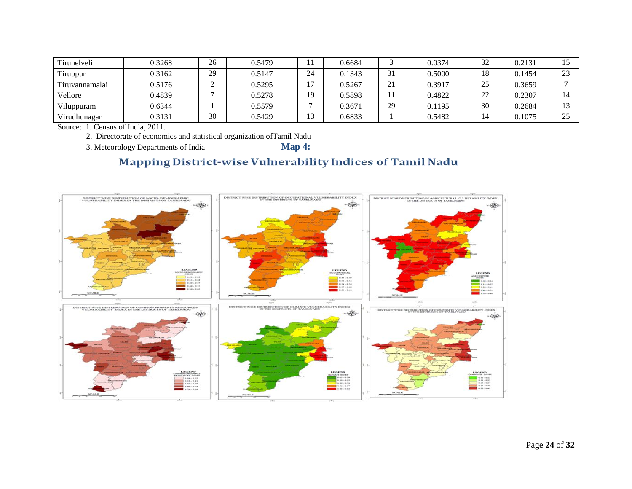| Tirunelveli    | 0.3268 | 26 | 0.5479 |    | 0.6684 |    | 0.0374 | 32                  | 0.2131 |                      |
|----------------|--------|----|--------|----|--------|----|--------|---------------------|--------|----------------------|
| Tiruppur       | 0.3162 | 29 | 0.5147 | 24 | 0.1343 | 31 | 0.5000 | 18                  | 0.1454 | $2^{\circ}$          |
| Tiruvannamalai | 0.5176 |    | 0.5295 |    | 0.5267 | 21 | 0.3917 | 25                  | 0.3659 |                      |
| Vellore        | 0.4839 |    | 0.5278 | 19 | 0.5898 |    | 0.4822 | $\mathcal{D}$<br>∠∠ | 0.2307 |                      |
| Viluppuram     | 0.6344 |    | 0.5579 |    | 0.3671 | 29 | 0.1195 | 30                  | 0.2684 | 1 <sub>2</sub>       |
| Virudhunagar   | 0.3131 | 30 | 0.5429 |    | 0.6833 |    | 0.5482 |                     | 0.1075 | $\cap \subset$<br>رے |

Source: 1. Census of India, 2011.

2. Directorate of economics and statistical organization ofTamil Nadu

3. Meteorology Departments of India **Map 4:**

## Mapping District-wise Vulnerability Indices of Tamil Nadu

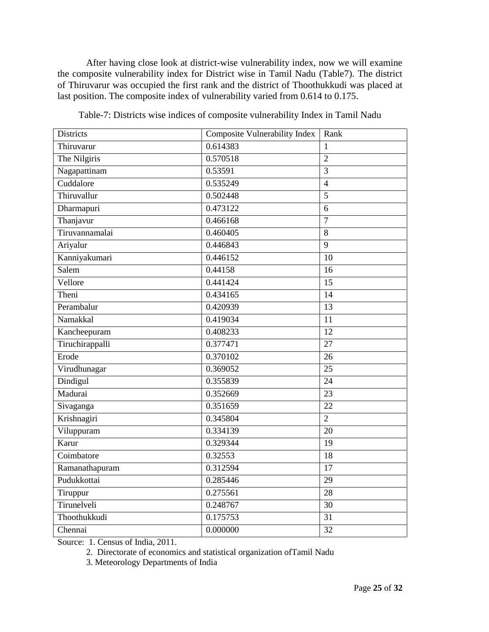After having close look at district-wise vulnerability index, now we will examine the composite vulnerability index for District wise in Tamil Nadu (Table7). The district of Thiruvarur was occupied the first rank and the district of Thoothukkudi was placed at last position. The composite index of vulnerability varied from 0.614 to 0.175.

| <b>Districts</b> | <b>Composite Vulnerability Index</b> | Rank            |
|------------------|--------------------------------------|-----------------|
| Thiruvarur       | 0.614383                             | 1               |
| The Nilgiris     | 0.570518                             | $\overline{2}$  |
| Nagapattinam     | 0.53591                              | $\overline{3}$  |
| Cuddalore        | 0.535249                             | $\overline{4}$  |
| Thiruvallur      | 0.502448                             | $\overline{5}$  |
| Dharmapuri       | 0.473122                             | 6               |
| Thanjavur        | 0.466168                             | $\overline{7}$  |
| Tiruvannamalai   | 0.460405                             | 8               |
| Ariyalur         | 0.446843                             | 9               |
| Kanniyakumari    | $\overline{0.446152}$                | 10              |
| Salem            | 0.44158                              | 16              |
| Vellore          | 0.441424                             | 15              |
| Theni            | 0.434165                             | 14              |
| Perambalur       | 0.420939                             | 13              |
| Namakkal         | 0.419034                             | 11              |
| Kancheepuram     | 0.408233                             | 12              |
| Tiruchirappalli  | 0.377471                             | $\overline{27}$ |
| Erode            | 0.370102                             | 26              |
| Virudhunagar     | 0.369052                             | 25              |
| Dindigul         | 0.355839                             | 24              |
| Madurai          | 0.352669                             | $\overline{23}$ |
| Sivaganga        | 0.351659                             | 22              |
| Krishnagiri      | 0.345804                             | $\overline{2}$  |
| Viluppuram       | 0.334139                             | 20              |
| Karur            | 0.329344                             | 19              |
| Coimbatore       | 0.32553                              | 18              |
| Ramanathapuram   | 0.312594                             | 17              |
| Pudukkottai      | 0.285446                             | $\overline{29}$ |
| Tiruppur         | 0.275561                             | 28              |
| Tirunelveli      | 0.248767                             | 30              |
| Thoothukkudi     | 0.175753                             | 31              |
| Chennai          | 0.000000                             | 32              |

Table-7: Districts wise indices of composite vulnerability Index in Tamil Nadu

Source: 1. Census of India, 2011.

2. Directorate of economics and statistical organization ofTamil Nadu

3. Meteorology Departments of India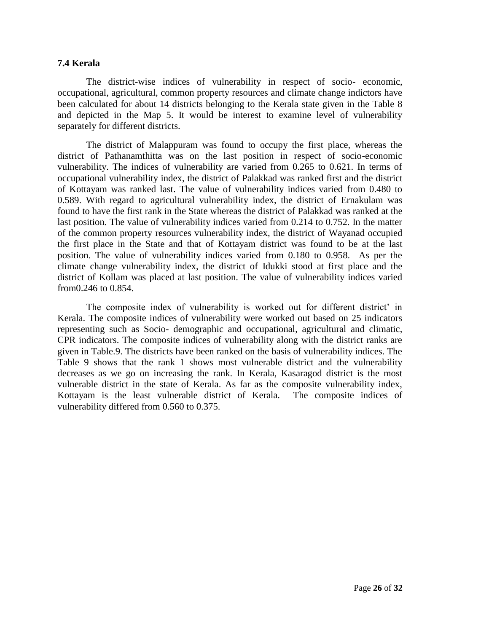#### **7.4 Kerala**

The district-wise indices of vulnerability in respect of socio- economic, occupational, agricultural, common property resources and climate change indictors have been calculated for about 14 districts belonging to the Kerala state given in the Table 8 and depicted in the Map 5. It would be interest to examine level of vulnerability separately for different districts.

The district of Malappuram was found to occupy the first place, whereas the district of Pathanamthitta was on the last position in respect of socio-economic vulnerability. The indices of vulnerability are varied from 0.265 to 0.621. In terms of occupational vulnerability index, the district of Palakkad was ranked first and the district of Kottayam was ranked last. The value of vulnerability indices varied from 0.480 to 0.589. With regard to agricultural vulnerability index, the district of Ernakulam was found to have the first rank in the State whereas the district of Palakkad was ranked at the last position. The value of vulnerability indices varied from 0.214 to 0.752. In the matter of the common property resources vulnerability index, the district of Wayanad occupied the first place in the State and that of Kottayam district was found to be at the last position. The value of vulnerability indices varied from 0.180 to 0.958. As per the climate change vulnerability index, the district of Idukki stood at first place and the district of Kollam was placed at last position. The value of vulnerability indices varied from0.246 to 0.854.

The composite index of vulnerability is worked out for different district' in Kerala. The composite indices of vulnerability were worked out based on 25 indicators representing such as Socio- demographic and occupational, agricultural and climatic, CPR indicators. The composite indices of vulnerability along with the district ranks are given in Table.9. The districts have been ranked on the basis of vulnerability indices. The Table 9 shows that the rank 1 shows most vulnerable district and the vulnerability decreases as we go on increasing the rank. In Kerala, Kasaragod district is the most vulnerable district in the state of Kerala. As far as the composite vulnerability index, Kottayam is the least vulnerable district of Kerala. The composite indices of vulnerability differed from 0.560 to 0.375.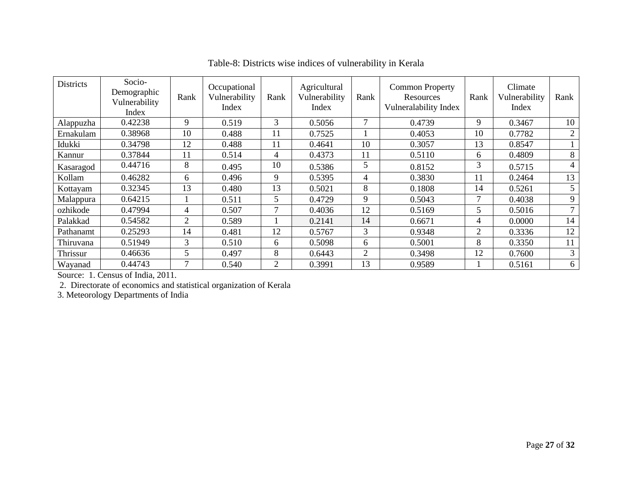| <b>Districts</b> | Socio-<br>Demographic<br>Vulnerability<br>Index | Rank | Occupational<br>Vulnerability<br>Index | Rank           | Agricultural<br>Vulnerability<br>Index | Rank           | <b>Common Property</b><br><b>Resources</b><br>Vulneralability Index | Rank | Climate<br>Vulnerability<br>Index | Rank           |
|------------------|-------------------------------------------------|------|----------------------------------------|----------------|----------------------------------------|----------------|---------------------------------------------------------------------|------|-----------------------------------|----------------|
| Alappuzha        | 0.42238                                         | 9    | 0.519                                  | 3              | 0.5056                                 | 7              | 0.4739                                                              | 9    | 0.3467                            | 10             |
| Ernakulam        | 0.38968                                         | 10   | 0.488                                  | 11             | 0.7525                                 |                | 0.4053                                                              | 10   | 0.7782                            | $\overline{2}$ |
| Idukki           | 0.34798                                         | 12   | 0.488                                  | 11             | 0.4641                                 | 10             | 0.3057                                                              | 13   | 0.8547                            |                |
| Kannur           | 0.37844                                         | 11   | 0.514                                  | 4              | 0.4373                                 | 11             | 0.5110                                                              | 6    | 0.4809                            | 8              |
| Kasaragod        | 0.44716                                         | 8    | 0.495                                  | 10             | 0.5386                                 | 5              | 0.8152                                                              | 3    | 0.5715                            | 4              |
| Kollam           | 0.46282                                         | 6    | 0.496                                  | 9              | 0.5395                                 | 4              | 0.3830                                                              | 11   | 0.2464                            | 13             |
| Kottayam         | 0.32345                                         | 13   | 0.480                                  | 13             | 0.5021                                 | 8              | 0.1808                                                              | 14   | 0.5261                            | 5              |
| Malappura        | 0.64215                                         |      | 0.511                                  | 5              | 0.4729                                 | 9              | 0.5043                                                              | 7    | 0.4038                            | 9              |
| ozhikode         | 0.47994                                         | 4    | 0.507                                  |                | 0.4036                                 | 12             | 0.5169                                                              | 5    | 0.5016                            | 7              |
| Palakkad         | 0.54582                                         | 2    | 0.589                                  |                | 0.2141                                 | 14             | 0.6671                                                              | 4    | 0.0000                            | 14             |
| Pathanamt        | 0.25293                                         | 14   | 0.481                                  | 12             | 0.5767                                 | 3              | 0.9348                                                              | 2    | 0.3336                            | 12             |
| Thiruvana        | 0.51949                                         | 3    | 0.510                                  | 6              | 0.5098                                 | 6              | 0.5001                                                              | 8    | 0.3350                            | 11             |
| Thrissur         | 0.46636                                         | 5    | 0.497                                  | 8              | 0.6443                                 | $\overline{2}$ | 0.3498                                                              | 12   | 0.7600                            | 3              |
| Wayanad          | 0.44743                                         | 7    | 0.540                                  | $\overline{2}$ | 0.3991                                 | 13             | 0.9589                                                              |      | 0.5161                            | 6              |

Table-8: Districts wise indices of vulnerability in Kerala

Source: 1. Census of India, 2011.

2. Directorate of economics and statistical organization of Kerala

3. Meteorology Departments of India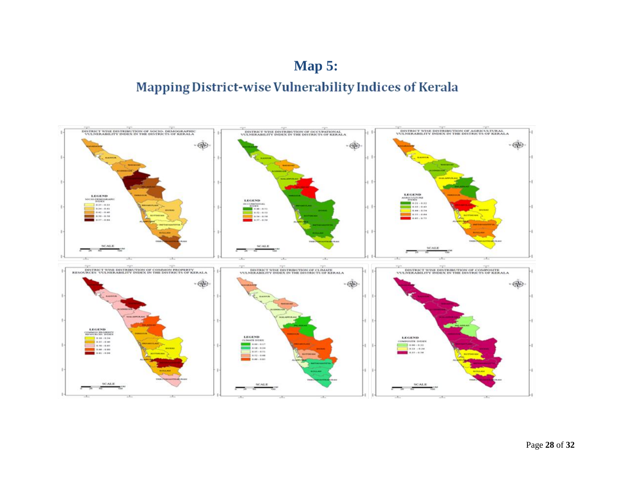# **Map 5:**Mapping District-wise Vulnerability Indices of Kerala

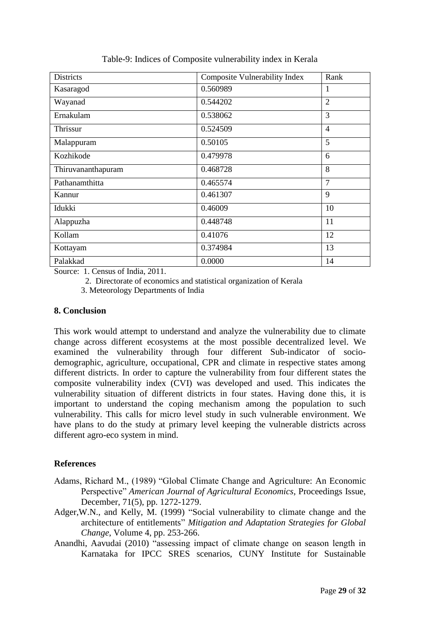| <b>Districts</b>   | Composite Vulnerability Index | Rank           |
|--------------------|-------------------------------|----------------|
| Kasaragod          | 0.560989                      | 1              |
| Wayanad            | 0.544202                      | $\overline{2}$ |
| Ernakulam          | 0.538062                      | 3              |
| Thrissur           | 0.524509                      | $\overline{4}$ |
| Malappuram         | 0.50105                       | 5              |
| Kozhikode          | 0.479978                      | 6              |
| Thiruvananthapuram | 0.468728                      | 8              |
| Pathanamthitta     | 0.465574                      | $\overline{7}$ |
| Kannur             | 0.461307                      | 9              |
| Idukki             | 0.46009                       | 10             |
| Alappuzha          | 0.448748                      | 11             |
| Kollam             | 0.41076                       | 12             |
| Kottayam           | 0.374984                      | 13             |
| Palakkad           | 0.0000                        | 14             |

Table-9: Indices of Composite vulnerability index in Kerala

Source: 1. Census of India, 2011.

2. Directorate of economics and statistical organization of Kerala

3. Meteorology Departments of India

#### **8. Conclusion**

This work would attempt to understand and analyze the vulnerability due to climate change across different ecosystems at the most possible decentralized level. We examined the vulnerability through four different Sub-indicator of sociodemographic, agriculture, occupational, CPR and climate in respective states among different districts. In order to capture the vulnerability from four different states the composite vulnerability index (CVI) was developed and used. This indicates the vulnerability situation of different districts in four states. Having done this, it is important to understand the coping mechanism among the population to such vulnerability. This calls for micro level study in such vulnerable environment. We have plans to do the study at primary level keeping the vulnerable districts across different agro-eco system in mind.

#### **References**

- Adams, Richard M., (1989) "Global Climate Change and Agriculture: An Economic Perspective" *American Journal of Agricultural Economics*, Proceedings Issue, December, 71(5), pp. 1272-1279.
- Adger,W.N., and Kelly, M. (1999) "Social vulnerability to climate change and the architecture of entitlements" *Mitigation and Adaptation Strategies for Global Change*, Volume 4, pp. 253-266.
- Anandhi, Aavudai (2010) "assessing impact of climate change on season length in Karnataka for IPCC SRES scenarios, CUNY Institute for Sustainable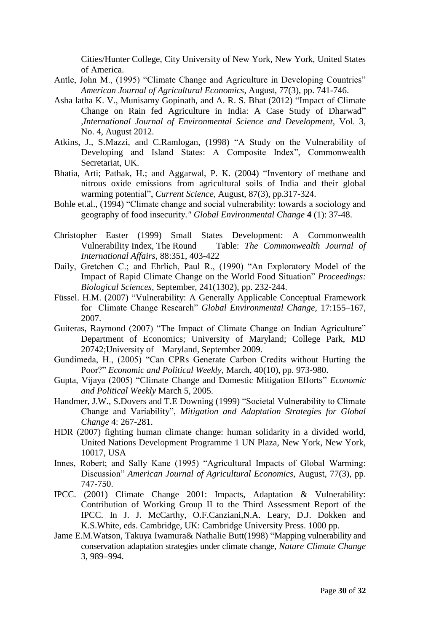Cities/Hunter College, City University of New York, New York, United States of America.

- Antle, John M., (1995) "Climate Change and Agriculture in Developing Countries" *American Journal of Agricultural Economics*, August, 77(3), pp. 741-746.
- Asha latha K. V., Munisamy Gopinath, and A. R. S. Bhat (2012) "Impact of Climate Change on Rain fed Agriculture in India: A Case Study of Dharwad" ,*International Journal of Environmental Science and Development*, Vol. 3, No. 4, August 2012.
- Atkins, J., S.Mazzi, and C.Ramlogan, (1998) "A Study on the Vulnerability of Developing and Island States: A Composite Index", Commonwealth Secretariat, UK.
- Bhatia, Arti; Pathak, H.; and Aggarwal, P. K. (2004) "Inventory of methane and nitrous oxide emissions from agricultural soils of India and their global warming potential", *Current Science*, August, 87(3), pp.317-324.
- Bohle et.al., (1994) "Climate change and social vulnerability: towards a sociology and geography of food insecurity*." Global Environmental Change* **4** (1): 37-48.
- Christopher Easter (1999) Small States Development: A Commonwealth Vulnerability Index, The Round Table: *The Commonwealth Journal of International Affairs*, 88:351, 403-422
- Daily, Gretchen C.; and Ehrlich, Paul R., (1990) "An Exploratory Model of the Impact of Rapid Climate Change on the World Food Situation" *Proceedings: Biological Sciences*, September, 241(1302), pp. 232-244.
- Füssel. H.M. (2007) "Vulnerability: A Generally Applicable Conceptual Framework for Climate Change Research" *Global Environmental Change*, 17:155–167, 2007.
- Guiteras, Raymond (2007) "The Impact of Climate Change on Indian Agriculture" Department of Economics; University of Maryland; College Park, MD 20742;University of Maryland, September 2009.
- Gundimeda, H., (2005) "Can CPRs Generate Carbon Credits without Hurting the Poor?" *Economic and Political Weekly*, March, 40(10), pp. 973-980.
- Gupta, Vijaya (2005) "Climate Change and Domestic Mitigation Efforts" *Economic and Political Weekly* March 5, 2005.
- Handmer, J.W., S.Dovers and T.E Downing (1999) "Societal Vulnerability to Climate Change and Variability", *Mitigation and Adaptation Strategies for Global Change* 4: 267-281.
- HDR (2007) fighting human climate change: human solidarity in a divided world, United Nations Development Programme 1 UN Plaza, New York, New York, 10017, USA
- Innes, Robert; and Sally Kane (1995) "Agricultural Impacts of Global Warming: Discussion" *American Journal of Agricultural Economics*, August, 77(3), pp. 747-750.
- IPCC. (2001) Climate Change 2001: Impacts, Adaptation & Vulnerability: Contribution of Working Group II to the Third Assessment Report of the IPCC. In J. J. McCarthy, O.F.Canziani,N.A. Leary, D.J. Dokken and K.S.White, eds. Cambridge, UK: Cambridge University Press. 1000 pp.
- [Jame E.M.Watson,](http://www.nature.com/nclimate/journal/v3/n11/full/nclimate2007.html#auth-1) [Takuya Iwamura&](http://www.nature.com/nclimate/journal/v3/n11/full/nclimate2007.html#auth-2) [Nathalie Butt\(](http://www.nature.com/nclimate/journal/v3/n11/full/nclimate2007.html#auth-3)1998) "Mapping vulnerability and conservation adaptation strategies under climate change, *Nature Climate Change*  3, 989–994.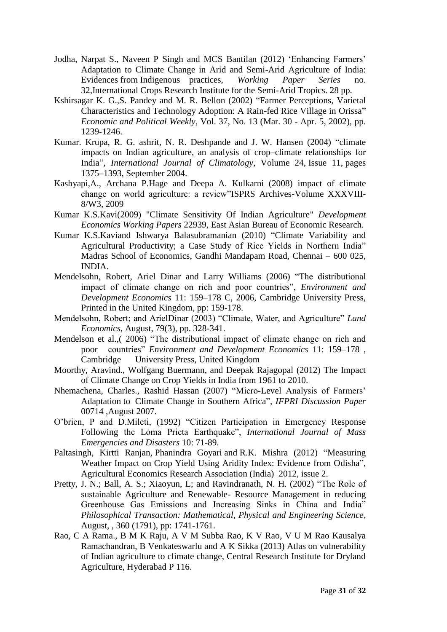- Jodha, Narpat S., Naveen P Singh and MCS Bantilan (2012) "Enhancing Farmers" Adaptation to Climate Change in Arid and Semi-Arid Agriculture of India: Evidences from Indigenous practices, *Working Paper Series* no. 32,International Crops Research Institute for the Semi-Arid Tropics. 28 pp.
- Kshirsagar K. G.,S. Pandey and M. R. Bellon (2002) "Farmer Perceptions, Varietal Characteristics and Technology Adoption: A Rain-fed Rice Village in Orissa" *Economic and Political Weekly*, Vol. 37, No. 13 (Mar. 30 - Apr. 5, 2002), pp. 1239-1246.
- Kumar. Krupa, R. G. ashrit, N. R. Deshpande and J. W. Hansen (2004) "climate impacts on Indian agriculture, an analysis of crop–climate relationships for India", *International Journal of Climatology*, [Volume 24,](http://onlinelibrary.wiley.com/doi/10.1002/joc.v24:11/issuetoc) Issue 11, pages 1375–1393, September 2004.
- Kashyapi,A., Archana P.Hage and Deepa A. Kulkarni (2008) impact of climate change on world agriculture: a review"ISPRS Archives-Volume XXXVIII-8/W3, 2009
- Kumar K.S.Kavi(2009) "Climate Sensitivity Of Indian Agriculture" *Development Economics Working Papers* 22939, East Asian Bureau of Economic Research.
- Kumar K.S.Kaviand Ishwarya Balasubramanian (2010) "Climate Variability and Agricultural Productivity; a Case Study of Rice Yields in Northern India" Madras School of Economics, Gandhi Mandapam Road, Chennai – 600 025, INDIA.
- Mendelsohn, Robert, Ariel Dinar and Larry Williams (2006) "The distributional impact of climate change on rich and poor countries", *Environment and Development Economics* 11: 159–178 C, 2006, Cambridge University Press, Printed in the United Kingdom, pp: 159-178.
- Mendelsohn, Robert; and ArielDinar (2003) "Climate, Water, and Agriculture" *Land Economics*, August, 79(3), pp. 328-341.
- Mendelson et al.,( 2006) "The distributional impact of climate change on rich and poor countries" *Environment and Development Economics* 11: 159–178 , Cambridge University Press, United Kingdom
- Moorthy, Aravind., Wolfgang Buermann, and Deepak Rajagopal (2012) The Impact of Climate Change on Crop Yields in India from 1961 to 2010.
- Nhemachena, Charles., Rashid Hassan (2007) "Micro-Level Analysis of Farmers" Adaptation to Climate Change in Southern Africa", *IFPRI Discussion Paper* 00714 ,August 2007.
- O"brien, P and D.Mileti, (1992) "Citizen Participation in Emergency Response Following the Loma Prieta Earthquake", *International Journal of Mass Emergencies and Disasters* 10: 71-89.
- Paltasingh, Kirtti Ranjan, Phanindra Goyari and R.K. Mishra (2012) ["Measuring](http://econpapers.repec.org/article/agsaerrae/137373.htm)  [Weather Impact on Crop Yield Using Aridity Index: Evidence from Odisha"](http://econpapers.repec.org/article/agsaerrae/137373.htm), [Agricultural Economics Research Association \(India\)](http://www.geocities.com/aeraindia/) 2012, issue 2.
- Pretty, J. N.; Ball, A. S.; Xiaoyun, L; and Ravindranath, N. H. (2002) "The Role of sustainable Agriculture and Renewable- Resource Management in reducing Greenhouse Gas Emissions and Increasing Sinks in China and India" *Philosophical Transaction: Mathematical, Physical and Engineering Science*, August, , 360 (1791), pp: 1741-1761.
- Rao, C A Rama., B M K Raju, A V M Subba Rao, K V Rao, V U M Rao Kausalya Ramachandran, B Venkateswarlu and A K Sikka (2013) Atlas on vulnerability of Indian agriculture to climate change, Central Research Institute for Dryland Agriculture, Hyderabad P 116.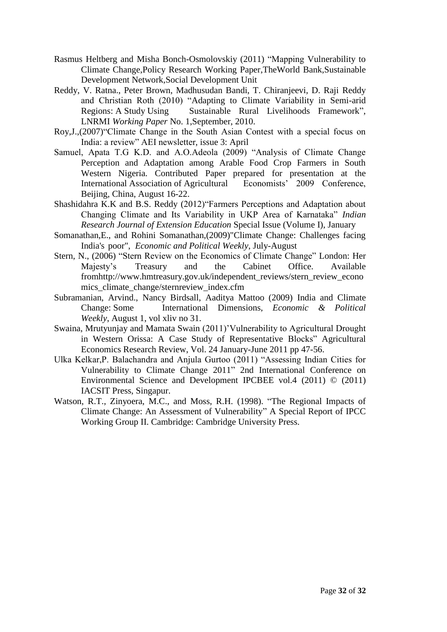- Rasmus Heltberg and Misha Bonch-Osmolovskiy (2011) "Mapping Vulnerability to Climate Change,Policy Research Working Paper,TheWorld Bank,Sustainable Development Network,Social Development Unit
- Reddy, V. Ratna., Peter Brown, Madhusudan Bandi, T. Chiranjeevi, D. Raji Reddy and Christian Roth (2010) "Adapting to Climate Variability in Semi-arid Regions: A Study Using Sustainable Rural Livelihoods Framework", LNRMI *Working Paper* No. 1,September, 2010.
- Roy,J.,(2007)"Climate Change in the South Asian Contest with a special focus on India: a review" AEI newsletter, issue 3: April
- Samuel, Apata T.G K.D. and A.O.Adeola (2009) "Analysis of Climate Change Perception and Adaptation among Arable Food Crop Farmers in South Western Nigeria. Contributed Paper prepared for presentation at the International Association of Agricultural Economists' 2009 Conference, International Association of Agricultural Beijing, China, August 16-22.
- Shashidahra K.K and B.S. Reddy (2012)"Farmers Perceptions and Adaptation about Changing Climate and Its Variability in UKP Area of Karnataka" *Indian Research Journal of Extension Education* Special Issue (Volume I), January
- Somanathan,E., and Rohini Somanathan,(2009)"Climate Change: Challenges facing India's poor", *Economic and Political Weekly*, July-August
- Stern, N., (2006) "Stern Review on the Economics of Climate Change" London: Her Majesty"s Treasury and the Cabinet Office. Available fromhttp://www.hmtreasury.gov.uk/independent\_reviews/stern\_review\_econo mics climate change/sternreview index.cfm
- Subramanian, Arvind., Nancy Birdsall, Aaditya Mattoo (2009) India and Climate Change: Some International Dimensions, *Economic & Political Weekly*, August 1, vol xliv no 31.
- Swaina, Mrutyunjay and Mamata Swain (2011)"Vulnerability to Agricultural Drought in Western Orissa: A Case Study of Representative Blocks" Agricultural Economics Research Review, Vol. 24 January-June 2011 pp 47-56.
- Ulka Kelkar,P. Balachandra and Anjula Gurtoo (2011) "Assessing Indian Cities for Vulnerability to Climate Change 2011" 2nd International Conference on Environmental Science and Development IPCBEE vol.4 (2011) © (2011) IACSIT Press, Singapur.
- Watson, R.T., Zinyoera, M.C., and Moss, R.H. (1998). "The Regional Impacts of Climate Change: An Assessment of Vulnerability" A Special Report of IPCC Working Group II. Cambridge: Cambridge University Press.